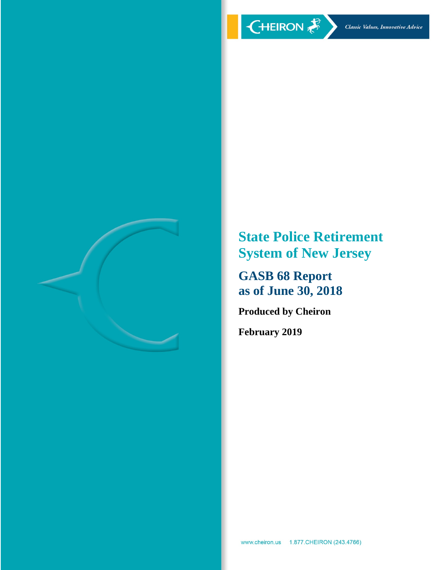

**State Police Retirement System of New Jersey** 

**GASB 68 Report as of June 30, 2018** 

**Produced by Cheiron** 

**February 2019**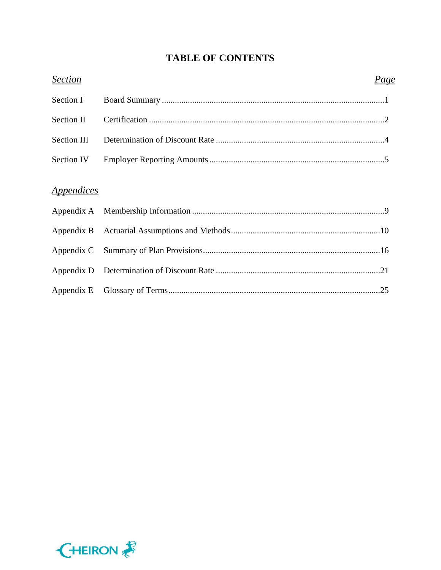# **TABLE OF CONTENTS**

| <b>Section</b>                  | Page |
|---------------------------------|------|
| Section I                       |      |
| Section II                      |      |
| Section III                     |      |
| Section IV                      |      |
| <i><u><b>Appendices</b></u></i> |      |
|                                 |      |
|                                 |      |
|                                 |      |
|                                 |      |
|                                 |      |

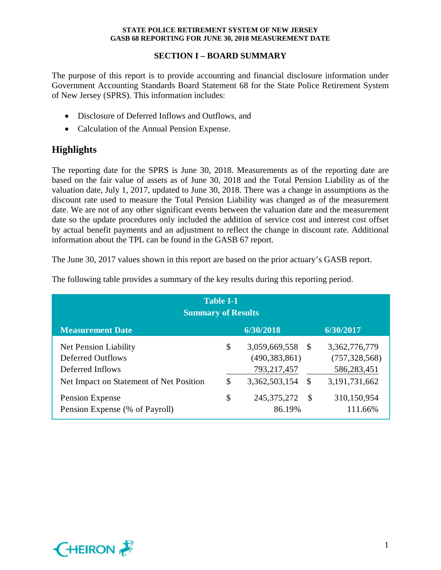## **SECTION I – BOARD SUMMARY**

The purpose of this report is to provide accounting and financial disclosure information under Government Accounting Standards Board Statement 68 for the State Police Retirement System of New Jersey (SPRS). This information includes:

- Disclosure of Deferred Inflows and Outflows, and
- Calculation of the Annual Pension Expense.

# **Highlights**

The reporting date for the SPRS is June 30, 2018. Measurements as of the reporting date are based on the fair value of assets as of June 30, 2018 and the Total Pension Liability as of the valuation date, July 1, 2017, updated to June 30, 2018. There was a change in assumptions as the discount rate used to measure the Total Pension Liability was changed as of the measurement date. We are not of any other significant events between the valuation date and the measurement date so the update procedures only included the addition of service cost and interest cost offset by actual benefit payments and an adjustment to reflect the change in discount rate. Additional information about the TPL can be found in the GASB 67 report.

The June 30, 2017 values shown in this report are based on the prior actuary's GASB report.

| <b>Table I-1</b><br><b>Summary of Results</b>                                                                    |          |                                                                  |         |                                                                  |  |
|------------------------------------------------------------------------------------------------------------------|----------|------------------------------------------------------------------|---------|------------------------------------------------------------------|--|
| <b>Measurement Date</b>                                                                                          |          | 6/30/2018                                                        |         | 6/30/2017                                                        |  |
| <b>Net Pension Liability</b><br>Deferred Outflows<br>Deferred Inflows<br>Net Impact on Statement of Net Position | \$<br>\$ | 3,059,669,558<br>(490, 383, 861)<br>793,217,457<br>3,362,503,154 | -S<br>S | 3,362,776,779<br>(757, 328, 568)<br>586,283,451<br>3,191,731,662 |  |
| Pension Expense<br>Pension Expense (% of Payroll)                                                                | \$       | 245, 375, 272<br>86.19%                                          | -S      | 310,150,954<br>111.66%                                           |  |

The following table provides a summary of the key results during this reporting period.

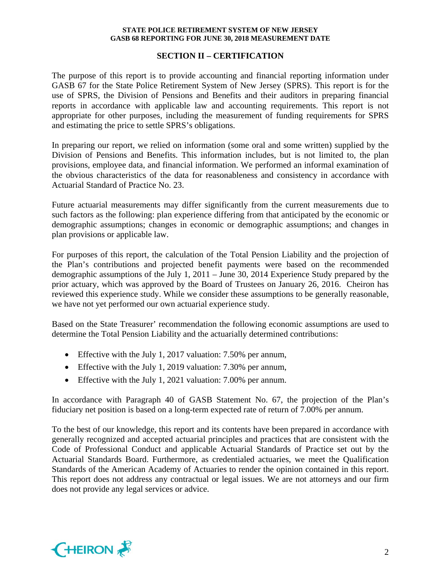#### **SECTION II – CERTIFICATION**

The purpose of this report is to provide accounting and financial reporting information under GASB 67 for the State Police Retirement System of New Jersey (SPRS). This report is for the use of SPRS, the Division of Pensions and Benefits and their auditors in preparing financial reports in accordance with applicable law and accounting requirements. This report is not appropriate for other purposes, including the measurement of funding requirements for SPRS and estimating the price to settle SPRS's obligations.

In preparing our report, we relied on information (some oral and some written) supplied by the Division of Pensions and Benefits. This information includes, but is not limited to, the plan provisions, employee data, and financial information. We performed an informal examination of the obvious characteristics of the data for reasonableness and consistency in accordance with Actuarial Standard of Practice No. 23.

Future actuarial measurements may differ significantly from the current measurements due to such factors as the following: plan experience differing from that anticipated by the economic or demographic assumptions; changes in economic or demographic assumptions; and changes in plan provisions or applicable law.

For purposes of this report, the calculation of the Total Pension Liability and the projection of the Plan's contributions and projected benefit payments were based on the recommended demographic assumptions of the July 1, 2011 – June 30, 2014 Experience Study prepared by the prior actuary, which was approved by the Board of Trustees on January 26, 2016. Cheiron has reviewed this experience study. While we consider these assumptions to be generally reasonable, we have not yet performed our own actuarial experience study.

Based on the State Treasurer' recommendation the following economic assumptions are used to determine the Total Pension Liability and the actuarially determined contributions:

- Effective with the July 1, 2017 valuation: 7.50% per annum,
- Effective with the July 1, 2019 valuation: 7.30% per annum,
- Effective with the July 1, 2021 valuation: 7.00% per annum.

In accordance with Paragraph 40 of GASB Statement No. 67, the projection of the Plan's fiduciary net position is based on a long-term expected rate of return of 7.00% per annum.

To the best of our knowledge, this report and its contents have been prepared in accordance with generally recognized and accepted actuarial principles and practices that are consistent with the Code of Professional Conduct and applicable Actuarial Standards of Practice set out by the Actuarial Standards Board. Furthermore, as credentialed actuaries, we meet the Qualification Standards of the American Academy of Actuaries to render the opinion contained in this report. This report does not address any contractual or legal issues. We are not attorneys and our firm does not provide any legal services or advice.

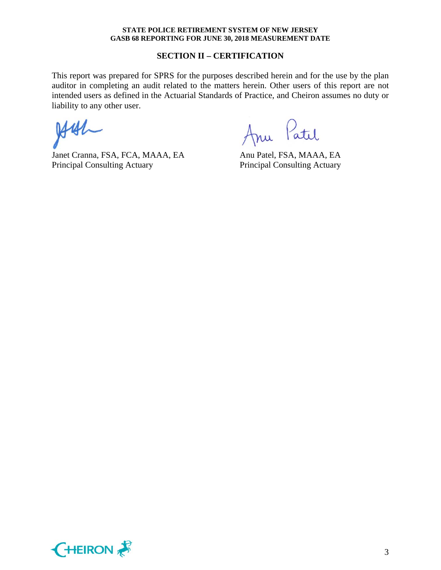#### **SECTION II – CERTIFICATION**

This report was prepared for SPRS for the purposes described herein and for the use by the plan auditor in completing an audit related to the matters herein. Other users of this report are not intended users as defined in the Actuarial Standards of Practice, and Cheiron assumes no duty or liability to any other user.

 $H41$ 

Janet Cranna, FSA, FCA, MAAA, EA Anu Patel, FSA, MAAA, EA Principal Consulting Actuary Principal Consulting Actuary

Anu Patil

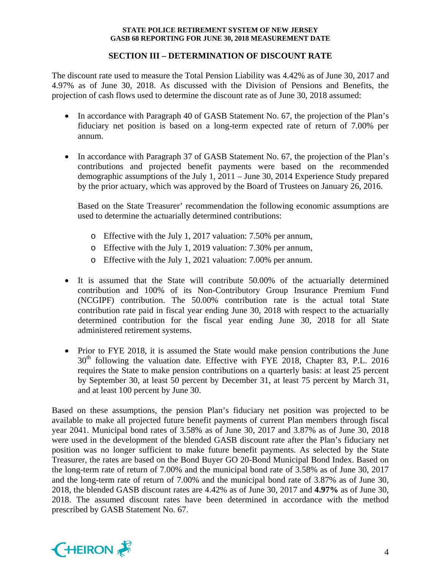## **SECTION III – DETERMINATION OF DISCOUNT RATE**

The discount rate used to measure the Total Pension Liability was 4.42% as of June 30, 2017 and 4.97% as of June 30, 2018. As discussed with the Division of Pensions and Benefits, the projection of cash flows used to determine the discount rate as of June 30, 2018 assumed:

- In accordance with Paragraph 40 of GASB Statement No. 67, the projection of the Plan's fiduciary net position is based on a long-term expected rate of return of 7.00% per annum.
- In accordance with Paragraph 37 of GASB Statement No. 67, the projection of the Plan's contributions and projected benefit payments were based on the recommended demographic assumptions of the July 1, 2011 – June 30, 2014 Experience Study prepared by the prior actuary, which was approved by the Board of Trustees on January 26, 2016.

Based on the State Treasurer' recommendation the following economic assumptions are used to determine the actuarially determined contributions:

- o Effective with the July 1, 2017 valuation: 7.50% per annum,
- o Effective with the July 1, 2019 valuation: 7.30% per annum,
- o Effective with the July 1, 2021 valuation: 7.00% per annum.
- It is assumed that the State will contribute 50.00% of the actuarially determined contribution and 100% of its Non-Contributory Group Insurance Premium Fund (NCGIPF) contribution. The 50.00% contribution rate is the actual total State contribution rate paid in fiscal year ending June 30, 2018 with respect to the actuarially determined contribution for the fiscal year ending June 30, 2018 for all State administered retirement systems.
- Prior to FYE 2018, it is assumed the State would make pension contributions the June  $30<sup>th</sup>$  following the valuation date. Effective with FYE 2018, Chapter 83, P.L. 2016 requires the State to make pension contributions on a quarterly basis: at least 25 percent by September 30, at least 50 percent by December 31, at least 75 percent by March 31, and at least 100 percent by June 30.

Based on these assumptions, the pension Plan's fiduciary net position was projected to be available to make all projected future benefit payments of current Plan members through fiscal year 2041. Municipal bond rates of 3.58% as of June 30, 2017 and 3.87% as of June 30, 2018 were used in the development of the blended GASB discount rate after the Plan's fiduciary net position was no longer sufficient to make future benefit payments. As selected by the State Treasurer, the rates are based on the Bond Buyer GO 20-Bond Municipal Bond Index. Based on the long-term rate of return of 7.00% and the municipal bond rate of 3.58% as of June 30, 2017 and the long-term rate of return of 7.00% and the municipal bond rate of 3.87% as of June 30, 2018, the blended GASB discount rates are 4.42% as of June 30, 2017 and **4.97%** as of June 30, 2018. The assumed discount rates have been determined in accordance with the method prescribed by GASB Statement No. 67.

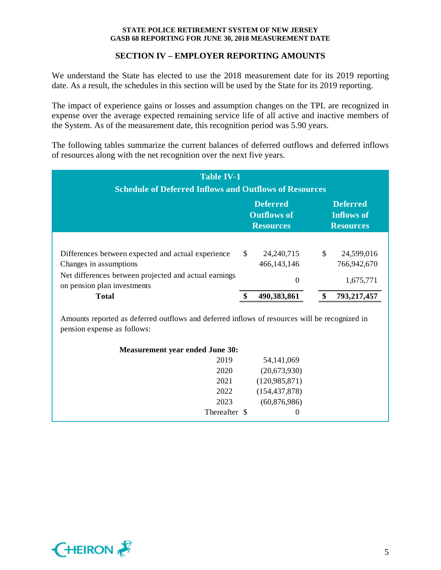## **SECTION IV – EMPLOYER REPORTING AMOUNTS**

We understand the State has elected to use the 2018 measurement date for its 2019 reporting date. As a result, the schedules in this section will be used by the State for its 2019 reporting.

The impact of experience gains or losses and assumption changes on the TPL are recognized in expense over the average expected remaining service life of all active and inactive members of the System. As of the measurement date, this recognition period was 5.90 years.

The following tables summarize the current balances of deferred outflows and deferred inflows of resources along with the net recognition over the next five years.

| <b>Table IV-1</b><br><b>Schedule of Deferred Inflows and Outflows of Resources</b>   |     |               |    |                                       |
|--------------------------------------------------------------------------------------|-----|---------------|----|---------------------------------------|
| <b>Deferred</b><br><b>Deferred</b><br><b>Outflows of</b><br><b>Resources</b>         |     |               |    | <b>Inflows of</b><br><b>Resources</b> |
|                                                                                      |     |               |    |                                       |
| Differences between expected and actual experience                                   | \$. | 24, 240, 715  | \$ | 24,599,016                            |
| Changes in assumptions                                                               |     | 466, 143, 146 |    | 766,942,670                           |
| Net differences between projected and actual earnings<br>on pension plan investments |     | 0             |    | 1,675,771                             |
| <b>Total</b>                                                                         |     | 490,383,861   |    | 793,217,457                           |

Amounts reported as deferred outflows and deferred inflows of resources will be recognized in pension expense as follows:

| <b>Measurement year ended June 30:</b> |                 |  |
|----------------------------------------|-----------------|--|
| 2019                                   | 54, 141, 069    |  |
| 2020                                   | (20,673,930)    |  |
| 2021                                   | (120, 985, 871) |  |
| 2022                                   | (154, 437, 878) |  |
| 2023                                   | (60,876,986)    |  |
| Thereafter \$                          | $\Omega$        |  |
|                                        |                 |  |

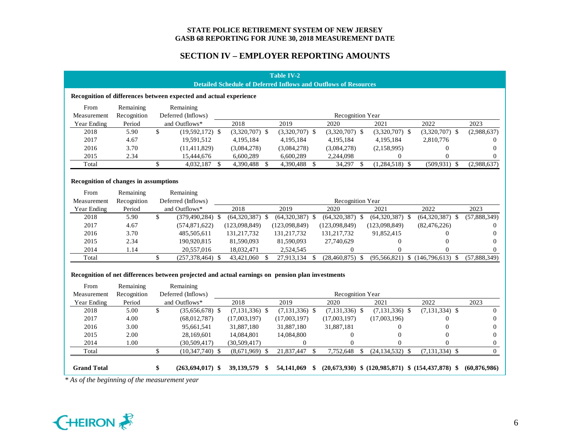## **SECTION IV – EMPLOYER REPORTING AMOUNTS**

|                                                              | <b>Table IV-2</b><br><b>Detailed Schedule of Deferred Inflows and Outflows of Resources</b> |                                                                                                               |  |                   |               |                   |              |                         |    |                   |                                      |              |
|--------------------------------------------------------------|---------------------------------------------------------------------------------------------|---------------------------------------------------------------------------------------------------------------|--|-------------------|---------------|-------------------|--------------|-------------------------|----|-------------------|--------------------------------------|--------------|
|                                                              |                                                                                             | Recognition of differences between expected and actual experience                                             |  |                   |               |                   |              |                         |    |                   |                                      |              |
| From                                                         | Remaining                                                                                   | Remaining                                                                                                     |  |                   |               |                   |              |                         |    |                   |                                      |              |
| Measurement                                                  | Recognition                                                                                 | Deferred (Inflows)                                                                                            |  |                   |               |                   |              | <b>Recognition Year</b> |    |                   |                                      |              |
| Year Ending                                                  | Period                                                                                      | and Outflows*                                                                                                 |  | 2018              |               | 2019              |              | 2020                    |    | 2021              | 2022                                 | 2023         |
| 2018                                                         | 5.90                                                                                        | \$<br>$(19,592,172)$ \$                                                                                       |  | $(3,320,707)$ \$  |               | $(3,320,707)$ \$  |              | $(3,320,707)$ \$        |    | $(3,320,707)$ \$  | $(3,320,707)$ \$                     | (2,988,637)  |
| 2017                                                         | 4.67                                                                                        | 19,591,512                                                                                                    |  | 4,195,184         |               | 4,195,184         |              | 4,195,184               |    | 4,195,184         | 2,810,776                            | $\theta$     |
| 2016                                                         | 3.70                                                                                        | (11, 411, 829)                                                                                                |  | (3,084,278)       |               | (3,084,278)       |              | (3,084,278)             |    | (2,158,995)       | $\Omega$                             | 0            |
| 2015                                                         | 2.34                                                                                        | 15,444,676                                                                                                    |  | 6,600,289         |               | 6,600,289         |              | 2,244,098               |    | $\Omega$          | 0                                    | $\mathbf{0}$ |
| Total                                                        |                                                                                             | \$<br>4,032,187 \$                                                                                            |  | 4,390,488         | -S            | 4,390,488         | <sup>S</sup> | 34,297                  | -S | $(1,284,518)$ \$  | $(509.931)$ \$                       | (2,988,637)  |
| Recognition of changes in assumptions<br>From<br>Measurement | Remaining<br>Recognition                                                                    | Remaining<br>Deferred (Inflows)                                                                               |  |                   |               |                   |              | <b>Recognition Year</b> |    |                   |                                      |              |
| Year Ending                                                  | Period                                                                                      | and Outflows*                                                                                                 |  | 2018              |               | 2019              |              | 2020                    |    | 2021              | 2022                                 | 2023         |
| 2018                                                         | 5.90                                                                                        | $\mathcal{S}$<br>$(379, 490, 284)$ \$                                                                         |  | $(64,320,387)$ \$ |               | $(64,320,387)$ \$ |              | $(64,320,387)$ \$       |    | $(64,320,387)$ \$ | $(64,320,387)$ \$                    | (57,888,349) |
| 2017                                                         | 4.67                                                                                        | (574, 871, 622)                                                                                               |  | (123,098,849)     |               | (123,098,849)     |              | (123,098,849)           |    | (123,098,849)     | (82, 476, 226)                       | $\theta$     |
| 2016                                                         | 3.70                                                                                        | 485,505,611                                                                                                   |  | 131, 217, 732     |               | 131, 217, 732     |              | 131, 217, 732           |    | 91,852,415        | $^{(1)}$                             | $\theta$     |
| 2015                                                         | 2.34                                                                                        | 190.920.815                                                                                                   |  | 81,590,093        |               | 81,590,093        |              | 27,740,629              |    | $\mathbf{0}$      | 0                                    | 0            |
| 2014                                                         | 1.14                                                                                        | 20,557,016                                                                                                    |  | 18,032,471        |               | 2,524,545         |              | 0                       |    | 0                 | 0                                    | 0            |
| Total                                                        |                                                                                             | \$<br>$(257,378,464)$ \$                                                                                      |  | 43,421,060        | <sup>\$</sup> | 27,913,134        | \$           | $(28,460,875)$ \$       |    |                   | $(95,566,821)$ \$ $(146,796,613)$ \$ | (57,888,349) |
| From                                                         | Remaining                                                                                   | Recognition of net differences between projected and actual earnings on pension plan investments<br>Remaining |  |                   |               |                   |              |                         |    |                   |                                      |              |

| Measurement        | Recognition | Deferred (Inflows)   |                  |                  | Recognition Year |                     |                                                         |                |
|--------------------|-------------|----------------------|------------------|------------------|------------------|---------------------|---------------------------------------------------------|----------------|
| Year Ending        | Period      | and Outflows*        | 2018             | 2019             | 2020             | 2021                | 2022                                                    | 2023           |
| 2018               | 5.00        | $(35,656,678)$ \$    | $(7,131,336)$ \$ | $(7,131,336)$ \$ | $(7,131,336)$ \$ | $(7,131,336)$ \$    | $(7,131,334)$ \$                                        | $\theta$       |
| 2017               | 4.00        | (68,012,787)         | (17,003,197)     | (17,003,197)     | (17,003,197)     | (17,003,196)        |                                                         | $\theta$       |
| 2016               | 3.00        | 95,661,541           | 31,887,180       | 31,887,180       | 31,887,181       |                     | $\theta$                                                | $\Omega$       |
| 2015               | 2.00        | 28,169,601           | 14.084.801       | 14,084,800       |                  |                     | 0                                                       | $\theta$       |
| 2014               | 1.00        | (30, 509, 417)       | (30, 509, 417)   |                  |                  |                     |                                                         |                |
| Total              |             | $(10,347,740)$ \$    | $(8,671,969)$ \$ | 21,837,447       | 7,752,648        | $(24, 134, 532)$ \$ | $(7,131,334)$ \$                                        |                |
|                    |             |                      |                  |                  |                  |                     |                                                         |                |
| <b>Grand Total</b> |             | $(263, 694, 017)$ \$ | 39, 139, 579     | 54,141,069       |                  |                     | $(20,673,930)$ \$ $(120,985,871)$ \$ $(154,437,878)$ \$ | (60, 876, 986) |

*\* As of the beginning of the measurement year*

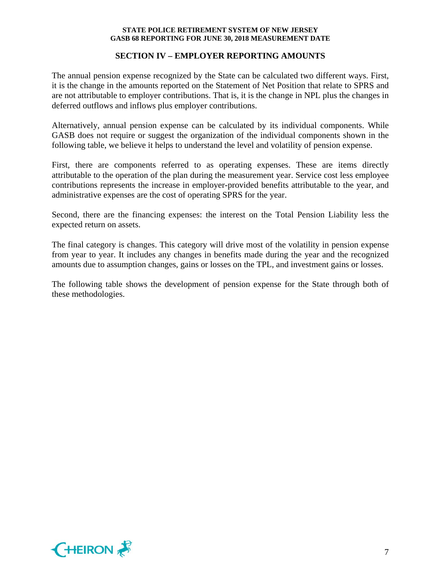### **SECTION IV – EMPLOYER REPORTING AMOUNTS**

The annual pension expense recognized by the State can be calculated two different ways. First, it is the change in the amounts reported on the Statement of Net Position that relate to SPRS and are not attributable to employer contributions. That is, it is the change in NPL plus the changes in deferred outflows and inflows plus employer contributions.

Alternatively, annual pension expense can be calculated by its individual components. While GASB does not require or suggest the organization of the individual components shown in the following table, we believe it helps to understand the level and volatility of pension expense.

First, there are components referred to as operating expenses. These are items directly attributable to the operation of the plan during the measurement year. Service cost less employee contributions represents the increase in employer-provided benefits attributable to the year, and administrative expenses are the cost of operating SPRS for the year.

Second, there are the financing expenses: the interest on the Total Pension Liability less the expected return on assets.

The final category is changes. This category will drive most of the volatility in pension expense from year to year. It includes any changes in benefits made during the year and the recognized amounts due to assumption changes, gains or losses on the TPL, and investment gains or losses.

The following table shows the development of pension expense for the State through both of these methodologies.

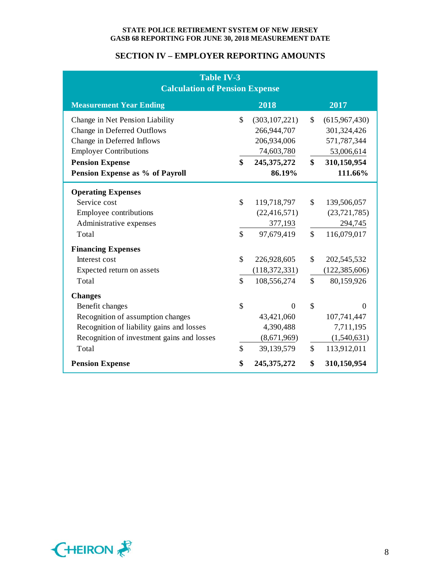## **SECTION IV – EMPLOYER REPORTING AMOUNTS**

| <b>Table IV-3</b><br><b>Calculation of Pension Expense</b> |    |                 |                    |                 |  |
|------------------------------------------------------------|----|-----------------|--------------------|-----------------|--|
| <b>Measurement Year Ending</b>                             |    | 2018            |                    | 2017            |  |
| Change in Net Pension Liability                            | \$ | (303, 107, 221) | $\mathbb{S}$       | (615,967,430)   |  |
| Change in Deferred Outflows                                |    | 266,944,707     |                    | 301,324,426     |  |
| Change in Deferred Inflows                                 |    | 206,934,006     |                    | 571,787,344     |  |
| <b>Employer Contributions</b>                              |    | 74,603,780      |                    | 53,006,614      |  |
| <b>Pension Expense</b>                                     | \$ | 245, 375, 272   | \$                 | 310,150,954     |  |
| Pension Expense as % of Payroll                            |    | 86.19%          |                    | 111.66%         |  |
| <b>Operating Expenses</b>                                  |    |                 |                    |                 |  |
| Service cost                                               | \$ | 119,718,797     | \$                 | 139,506,057     |  |
| Employee contributions                                     |    | (22, 416, 571)  |                    | (23, 721, 785)  |  |
| Administrative expenses                                    |    | 377,193         |                    | 294,745         |  |
| Total                                                      | \$ | 97,679,419      | $\mathbf{\hat{S}}$ | 116,079,017     |  |
| <b>Financing Expenses</b>                                  |    |                 |                    |                 |  |
| Interest cost                                              | \$ | 226,928,605     | \$                 | 202,545,532     |  |
| Expected return on assets                                  |    | (118, 372, 331) |                    | (122, 385, 606) |  |
| Total                                                      | \$ | 108,556,274     | \$                 | 80,159,926      |  |
| <b>Changes</b>                                             |    |                 |                    |                 |  |
| Benefit changes                                            | \$ | $\Omega$        | \$                 | $\Omega$        |  |
| Recognition of assumption changes                          |    | 43,421,060      |                    | 107,741,447     |  |
| Recognition of liability gains and losses                  |    | 4,390,488       |                    | 7,711,195       |  |
| Recognition of investment gains and losses                 |    | (8,671,969)     |                    | (1,540,631)     |  |
| Total                                                      | \$ | 39,139,579      | \$                 | 113,912,011     |  |
| <b>Pension Expense</b>                                     | \$ | 245, 375, 272   | \$                 | 310,150,954     |  |

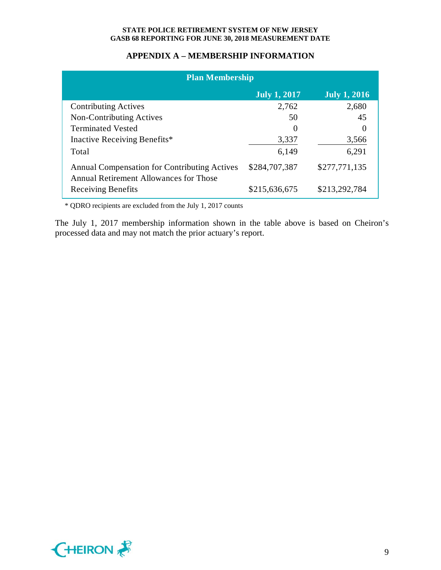## **APPENDIX A – MEMBERSHIP INFORMATION**

| <b>Plan Membership</b>                                                                        |                     |                     |  |  |
|-----------------------------------------------------------------------------------------------|---------------------|---------------------|--|--|
|                                                                                               | <b>July 1, 2017</b> | <b>July 1, 2016</b> |  |  |
| <b>Contributing Actives</b>                                                                   | 2,762               | 2,680               |  |  |
| Non-Contributing Actives                                                                      | 50                  | 45                  |  |  |
| <b>Terminated Vested</b>                                                                      |                     |                     |  |  |
| Inactive Receiving Benefits*                                                                  | 3,337               | 3,566               |  |  |
| Total                                                                                         | 6,149               | 6,291               |  |  |
| <b>Annual Compensation for Contributing Actives</b><br>Annual Retirement Allowances for Those | \$284,707,387       | \$277,771,135       |  |  |
| <b>Receiving Benefits</b>                                                                     | \$215,636,675       | \$213,292,784       |  |  |

\* QDRO recipients are excluded from the July 1, 2017 counts

The July 1, 2017 membership information shown in the table above is based on Cheiron's processed data and may not match the prior actuary's report.

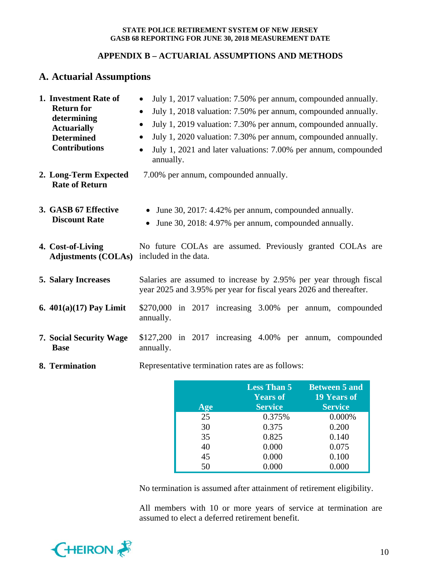## **APPENDIX B – ACTUARIAL ASSUMPTIONS AND METHODS**

# **A. Actuarial Assumptions**

| 1. Investment Rate of<br><b>Return for</b><br>determining<br><b>Actuarially</b><br><b>Determined</b><br><b>Contributions</b> | July 1, 2017 valuation: 7.50% per annum, compounded annually.<br>July 1, 2018 valuation: 7.50% per annum, compounded annually.<br>$\bullet$<br>July 1, 2019 valuation: 7.30% per annum, compounded annually.<br>$\bullet$<br>July 1, 2020 valuation: 7.30% per annum, compounded annually.<br>$\bullet$<br>July 1, 2021 and later valuations: 7.00% per annum, compounded<br>$\bullet$<br>annually. |  |  |  |  |
|------------------------------------------------------------------------------------------------------------------------------|-----------------------------------------------------------------------------------------------------------------------------------------------------------------------------------------------------------------------------------------------------------------------------------------------------------------------------------------------------------------------------------------------------|--|--|--|--|
| 2. Long-Term Expected<br><b>Rate of Return</b>                                                                               | 7.00% per annum, compounded annually.                                                                                                                                                                                                                                                                                                                                                               |  |  |  |  |
| 3. GASB 67 Effective<br><b>Discount Rate</b>                                                                                 | June 30, 2017: 4.42% per annum, compounded annually.<br>June 30, 2018: 4.97% per annum, compounded annually.<br>$\bullet$                                                                                                                                                                                                                                                                           |  |  |  |  |
| 4. Cost-of-Living<br>Adjustments (COLAs) included in the data.                                                               | No future COLAs are assumed. Previously granted COLAs are                                                                                                                                                                                                                                                                                                                                           |  |  |  |  |
| <b>5. Salary Increases</b>                                                                                                   | Salaries are assumed to increase by 2.95% per year through fiscal<br>year 2025 and 3.95% per year for fiscal years 2026 and thereafter.                                                                                                                                                                                                                                                             |  |  |  |  |
| 6. $401(a)(17)$ Pay Limit                                                                                                    | \$270,000 in 2017 increasing 3.00% per annum, compounded<br>annually.                                                                                                                                                                                                                                                                                                                               |  |  |  |  |
| 7. Social Security Wage<br><b>Base</b>                                                                                       | \$127,200 in 2017 increasing 4.00% per annum, compounded<br>annually.                                                                                                                                                                                                                                                                                                                               |  |  |  |  |
| 8. Termination                                                                                                               | Representative termination rates are as follows:                                                                                                                                                                                                                                                                                                                                                    |  |  |  |  |

| Age | <b>Less Than 5</b><br><b>Years of</b><br><b>Service</b> | <b>Between 5 and</b><br><b>19 Years of</b><br><b>Service</b> |
|-----|---------------------------------------------------------|--------------------------------------------------------------|
| 25  | 0.375%                                                  | 0.000%                                                       |
| 30  | 0.375                                                   | 0.200                                                        |
| 35  | 0.825                                                   | 0.140                                                        |
| 40  | 0.000                                                   | 0.075                                                        |
| 45  | 0.000                                                   | 0.100                                                        |
| 50  | 0.000                                                   | 0.000                                                        |

No termination is assumed after attainment of retirement eligibility.

All members with 10 or more years of service at termination are assumed to elect a deferred retirement benefit.

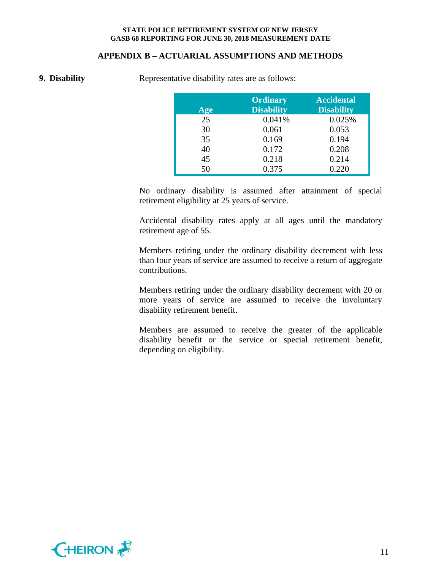#### **APPENDIX B – ACTUARIAL ASSUMPTIONS AND METHODS**

**9. Disability Representative disability rates are as follows:** 

| Age | <b>Ordinary</b><br><b>Disability</b> | <b>Accidental</b><br><b>Disability</b> |
|-----|--------------------------------------|----------------------------------------|
| 25  | 0.041%                               | 0.025%                                 |
| 30  | 0.061                                | 0.053                                  |
| 35  | 0.169                                | 0.194                                  |
| 40  | 0.172                                | 0.208                                  |
| 45  | 0.218                                | 0.214                                  |
| 50  | 0.375                                | 0.220                                  |

No ordinary disability is assumed after attainment of special retirement eligibility at 25 years of service.

Accidental disability rates apply at all ages until the mandatory retirement age of 55.

Members retiring under the ordinary disability decrement with less than four years of service are assumed to receive a return of aggregate contributions.

Members retiring under the ordinary disability decrement with 20 or more years of service are assumed to receive the involuntary disability retirement benefit.

Members are assumed to receive the greater of the applicable disability benefit or the service or special retirement benefit, depending on eligibility.

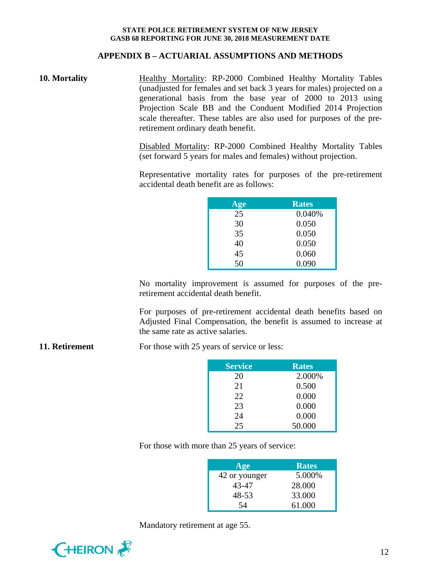## **APPENDIX B – ACTUARIAL ASSUMPTIONS AND METHODS**

**10. Mortality Healthy Mortality: RP-2000 Combined Healthy Mortality Tables** (unadjusted for females and set back 3 years for males) projected on a generational basis from the base year of 2000 to 2013 using Projection Scale BB and the Conduent Modified 2014 Projection scale thereafter. These tables are also used for purposes of the preretirement ordinary death benefit.

> Disabled Mortality: RP-2000 Combined Healthy Mortality Tables (set forward 5 years for males and females) without projection.

> Representative mortality rates for purposes of the pre-retirement accidental death benefit are as follows:

| Age | <b>Rates</b> |
|-----|--------------|
| 25  | 0.040%       |
| 30  | 0.050        |
| 35  | 0.050        |
| 40  | 0.050        |
| 45  | 0.060        |
| 50  | 0.090        |

No mortality improvement is assumed for purposes of the preretirement accidental death benefit.

For purposes of pre-retirement accidental death benefits based on Adjusted Final Compensation, the benefit is assumed to increase at the same rate as active salaries.

**11. Retirement** For those with 25 years of service or less:

| <b>Service</b> | <b>Rates</b> |
|----------------|--------------|
| 20             | 2.000%       |
| 21             | 0.500        |
| 22             | 0.000        |
| 23             | 0.000        |
| 24             | 0.000        |
| 25             | 50.000       |

For those with more than 25 years of service:

| Age           | <b>Rates</b> |
|---------------|--------------|
| 42 or younger | 5.000%       |
| 43-47         | 28,000       |
| 48-53         | 33.000       |
| 54            | 61.000       |

Mandatory retirement at age 55.

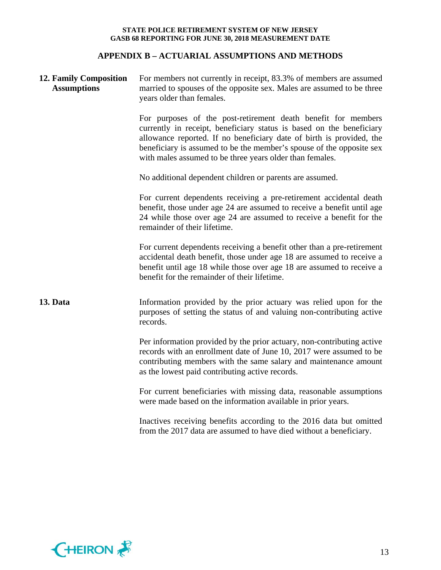# **APPENDIX B – ACTUARIAL ASSUMPTIONS AND METHODS**

| <b>12. Family Composition</b><br><b>Assumptions</b> | For members not currently in receipt, 83.3% of members are assumed<br>married to spouses of the opposite sex. Males are assumed to be three<br>years older than females.                                                                                                                                                                          |  |  |  |  |
|-----------------------------------------------------|---------------------------------------------------------------------------------------------------------------------------------------------------------------------------------------------------------------------------------------------------------------------------------------------------------------------------------------------------|--|--|--|--|
|                                                     | For purposes of the post-retirement death benefit for members<br>currently in receipt, beneficiary status is based on the beneficiary<br>allowance reported. If no beneficiary date of birth is provided, the<br>beneficiary is assumed to be the member's spouse of the opposite sex<br>with males assumed to be three years older than females. |  |  |  |  |
|                                                     | No additional dependent children or parents are assumed.                                                                                                                                                                                                                                                                                          |  |  |  |  |
|                                                     | For current dependents receiving a pre-retirement accidental death<br>benefit, those under age 24 are assumed to receive a benefit until age<br>24 while those over age 24 are assumed to receive a benefit for the<br>remainder of their lifetime.                                                                                               |  |  |  |  |
|                                                     | For current dependents receiving a benefit other than a pre-retirement<br>accidental death benefit, those under age 18 are assumed to receive a<br>benefit until age 18 while those over age 18 are assumed to receive a<br>benefit for the remainder of their lifetime.                                                                          |  |  |  |  |
| 13. Data                                            | Information provided by the prior actuary was relied upon for the<br>purposes of setting the status of and valuing non-contributing active<br>records.                                                                                                                                                                                            |  |  |  |  |
|                                                     | Per information provided by the prior actuary, non-contributing active<br>records with an enrollment date of June 10, 2017 were assumed to be<br>contributing members with the same salary and maintenance amount<br>as the lowest paid contributing active records.                                                                              |  |  |  |  |
|                                                     | For current beneficiaries with missing data, reasonable assumptions<br>were made based on the information available in prior years.                                                                                                                                                                                                               |  |  |  |  |
|                                                     | Inactives receiving benefits according to the 2016 data but omitted<br>from the 2017 data are assumed to have died without a beneficiary.                                                                                                                                                                                                         |  |  |  |  |

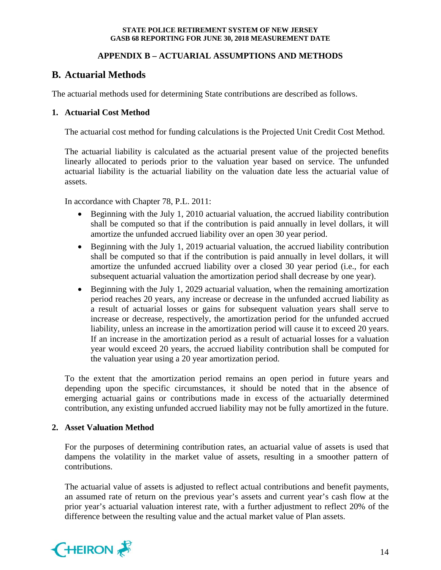## **APPENDIX B – ACTUARIAL ASSUMPTIONS AND METHODS**

# **B. Actuarial Methods**

The actuarial methods used for determining State contributions are described as follows.

## **1. Actuarial Cost Method**

The actuarial cost method for funding calculations is the Projected Unit Credit Cost Method.

The actuarial liability is calculated as the actuarial present value of the projected benefits linearly allocated to periods prior to the valuation year based on service. The unfunded actuarial liability is the actuarial liability on the valuation date less the actuarial value of assets.

In accordance with Chapter 78, P.L. 2011:

- Beginning with the July 1, 2010 actuarial valuation, the accrued liability contribution shall be computed so that if the contribution is paid annually in level dollars, it will amortize the unfunded accrued liability over an open 30 year period.
- Beginning with the July 1, 2019 actuarial valuation, the accrued liability contribution shall be computed so that if the contribution is paid annually in level dollars, it will amortize the unfunded accrued liability over a closed 30 year period (i.e., for each subsequent actuarial valuation the amortization period shall decrease by one year).
- Beginning with the July 1, 2029 actuarial valuation, when the remaining amortization period reaches 20 years, any increase or decrease in the unfunded accrued liability as a result of actuarial losses or gains for subsequent valuation years shall serve to increase or decrease, respectively, the amortization period for the unfunded accrued liability, unless an increase in the amortization period will cause it to exceed 20 years. If an increase in the amortization period as a result of actuarial losses for a valuation year would exceed 20 years, the accrued liability contribution shall be computed for the valuation year using a 20 year amortization period.

To the extent that the amortization period remains an open period in future years and depending upon the specific circumstances, it should be noted that in the absence of emerging actuarial gains or contributions made in excess of the actuarially determined contribution, any existing unfunded accrued liability may not be fully amortized in the future.

### **2. Asset Valuation Method**

For the purposes of determining contribution rates, an actuarial value of assets is used that dampens the volatility in the market value of assets, resulting in a smoother pattern of contributions.

The actuarial value of assets is adjusted to reflect actual contributions and benefit payments, an assumed rate of return on the previous year's assets and current year's cash flow at the prior year's actuarial valuation interest rate, with a further adjustment to reflect 20% of the difference between the resulting value and the actual market value of Plan assets.

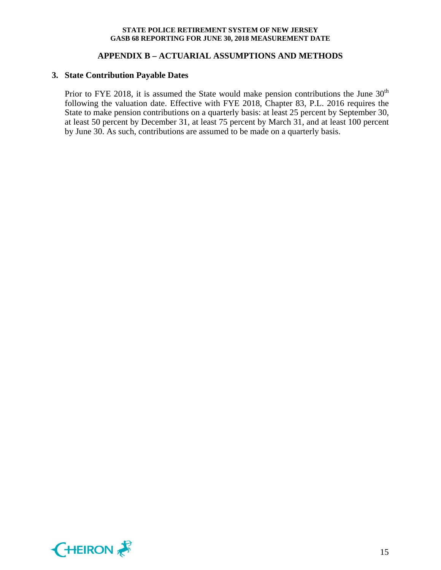## **APPENDIX B – ACTUARIAL ASSUMPTIONS AND METHODS**

## **3. State Contribution Payable Dates**

Prior to FYE 2018, it is assumed the State would make pension contributions the June  $30<sup>th</sup>$ following the valuation date. Effective with FYE 2018, Chapter 83, P.L. 2016 requires the State to make pension contributions on a quarterly basis: at least 25 percent by September 30, at least 50 percent by December 31, at least 75 percent by March 31, and at least 100 percent by June 30. As such, contributions are assumed to be made on a quarterly basis.

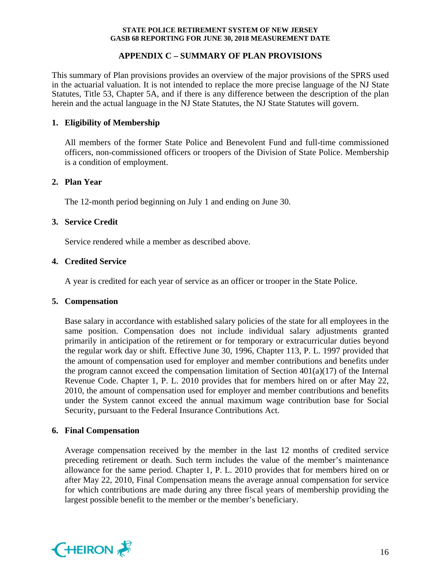## **APPENDIX C – SUMMARY OF PLAN PROVISIONS**

This summary of Plan provisions provides an overview of the major provisions of the SPRS used in the actuarial valuation. It is not intended to replace the more precise language of the NJ State Statutes, Title 53, Chapter 5A, and if there is any difference between the description of the plan herein and the actual language in the NJ State Statutes, the NJ State Statutes will govern.

## **1. Eligibility of Membership**

All members of the former State Police and Benevolent Fund and full-time commissioned officers, non-commissioned officers or troopers of the Division of State Police. Membership is a condition of employment.

## **2. Plan Year**

The 12-month period beginning on July 1 and ending on June 30.

## **3. Service Credit**

Service rendered while a member as described above.

## **4. Credited Service**

A year is credited for each year of service as an officer or trooper in the State Police.

### **5. Compensation**

Base salary in accordance with established salary policies of the state for all employees in the same position. Compensation does not include individual salary adjustments granted primarily in anticipation of the retirement or for temporary or extracurricular duties beyond the regular work day or shift. Effective June 30, 1996, Chapter 113, P. L. 1997 provided that the amount of compensation used for employer and member contributions and benefits under the program cannot exceed the compensation limitation of Section  $401(a)(17)$  of the Internal Revenue Code. Chapter 1, P. L. 2010 provides that for members hired on or after May 22, 2010, the amount of compensation used for employer and member contributions and benefits under the System cannot exceed the annual maximum wage contribution base for Social Security, pursuant to the Federal Insurance Contributions Act.

### **6. Final Compensation**

Average compensation received by the member in the last 12 months of credited service preceding retirement or death. Such term includes the value of the member's maintenance allowance for the same period. Chapter 1, P. L. 2010 provides that for members hired on or after May 22, 2010, Final Compensation means the average annual compensation for service for which contributions are made during any three fiscal years of membership providing the largest possible benefit to the member or the member's beneficiary.

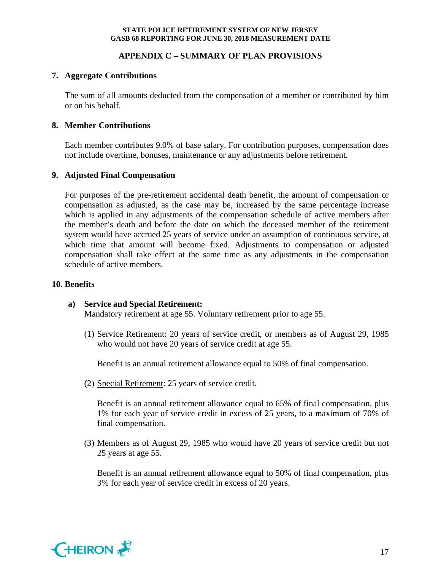## **APPENDIX C – SUMMARY OF PLAN PROVISIONS**

### **7. Aggregate Contributions**

The sum of all amounts deducted from the compensation of a member or contributed by him or on his behalf.

### **8. Member Contributions**

Each member contributes 9.0% of base salary. For contribution purposes, compensation does not include overtime, bonuses, maintenance or any adjustments before retirement.

### **9. Adjusted Final Compensation**

For purposes of the pre-retirement accidental death benefit, the amount of compensation or compensation as adjusted, as the case may be, increased by the same percentage increase which is applied in any adjustments of the compensation schedule of active members after the member's death and before the date on which the deceased member of the retirement system would have accrued 25 years of service under an assumption of continuous service, at which time that amount will become fixed. Adjustments to compensation or adjusted compensation shall take effect at the same time as any adjustments in the compensation schedule of active members.

#### **10. Benefits**

### **a) Service and Special Retirement:**

Mandatory retirement at age 55. Voluntary retirement prior to age 55.

(1) Service Retirement: 20 years of service credit, or members as of August 29, 1985 who would not have 20 years of service credit at age 55.

Benefit is an annual retirement allowance equal to 50% of final compensation.

(2) Special Retirement: 25 years of service credit.

Benefit is an annual retirement allowance equal to 65% of final compensation, plus 1% for each year of service credit in excess of 25 years, to a maximum of 70% of final compensation.

(3) Members as of August 29, 1985 who would have 20 years of service credit but not 25 years at age 55.

Benefit is an annual retirement allowance equal to 50% of final compensation, plus 3% for each year of service credit in excess of 20 years.

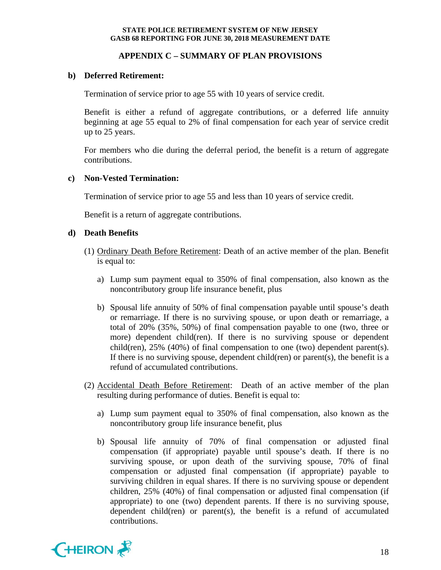## **APPENDIX C – SUMMARY OF PLAN PROVISIONS**

### **b) Deferred Retirement:**

Termination of service prior to age 55 with 10 years of service credit.

Benefit is either a refund of aggregate contributions, or a deferred life annuity beginning at age 55 equal to 2% of final compensation for each year of service credit up to 25 years.

For members who die during the deferral period, the benefit is a return of aggregate contributions.

### **c) Non-Vested Termination:**

Termination of service prior to age 55 and less than 10 years of service credit.

Benefit is a return of aggregate contributions.

### **d) Death Benefits**

- (1) Ordinary Death Before Retirement: Death of an active member of the plan. Benefit is equal to:
	- a) Lump sum payment equal to 350% of final compensation, also known as the noncontributory group life insurance benefit, plus
	- b) Spousal life annuity of 50% of final compensation payable until spouse's death or remarriage. If there is no surviving spouse, or upon death or remarriage, a total of 20% (35%, 50%) of final compensation payable to one (two, three or more) dependent child(ren). If there is no surviving spouse or dependent child(ren),  $25\%$  (40%) of final compensation to one (two) dependent parent(s). If there is no surviving spouse, dependent child(ren) or parent(s), the benefit is a refund of accumulated contributions.
- (2) Accidental Death Before Retirement: Death of an active member of the plan resulting during performance of duties. Benefit is equal to:
	- a) Lump sum payment equal to 350% of final compensation, also known as the noncontributory group life insurance benefit, plus
	- b) Spousal life annuity of 70% of final compensation or adjusted final compensation (if appropriate) payable until spouse's death. If there is no surviving spouse, or upon death of the surviving spouse, 70% of final compensation or adjusted final compensation (if appropriate) payable to surviving children in equal shares. If there is no surviving spouse or dependent children, 25% (40%) of final compensation or adjusted final compensation (if appropriate) to one (two) dependent parents. If there is no surviving spouse, dependent child(ren) or parent(s), the benefit is a refund of accumulated contributions.

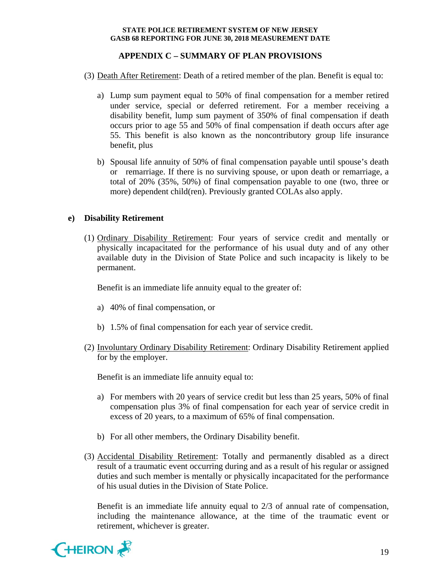## **APPENDIX C – SUMMARY OF PLAN PROVISIONS**

- (3) Death After Retirement: Death of a retired member of the plan. Benefit is equal to:
	- a) Lump sum payment equal to 50% of final compensation for a member retired under service, special or deferred retirement. For a member receiving a disability benefit, lump sum payment of 350% of final compensation if death occurs prior to age 55 and 50% of final compensation if death occurs after age 55. This benefit is also known as the noncontributory group life insurance benefit, plus
	- b) Spousal life annuity of 50% of final compensation payable until spouse's death or remarriage. If there is no surviving spouse, or upon death or remarriage, a total of 20% (35%, 50%) of final compensation payable to one (two, three or more) dependent child(ren). Previously granted COLAs also apply.

## **e) Disability Retirement**

(1) Ordinary Disability Retirement: Four years of service credit and mentally or physically incapacitated for the performance of his usual duty and of any other available duty in the Division of State Police and such incapacity is likely to be permanent.

Benefit is an immediate life annuity equal to the greater of:

- a) 40% of final compensation, or
- b) 1.5% of final compensation for each year of service credit.
- (2) Involuntary Ordinary Disability Retirement: Ordinary Disability Retirement applied for by the employer.

Benefit is an immediate life annuity equal to:

- a) For members with 20 years of service credit but less than 25 years, 50% of final compensation plus 3% of final compensation for each year of service credit in excess of 20 years, to a maximum of 65% of final compensation.
- b) For all other members, the Ordinary Disability benefit.
- (3) Accidental Disability Retirement: Totally and permanently disabled as a direct result of a traumatic event occurring during and as a result of his regular or assigned duties and such member is mentally or physically incapacitated for the performance of his usual duties in the Division of State Police.

Benefit is an immediate life annuity equal to 2/3 of annual rate of compensation, including the maintenance allowance, at the time of the traumatic event or retirement, whichever is greater.

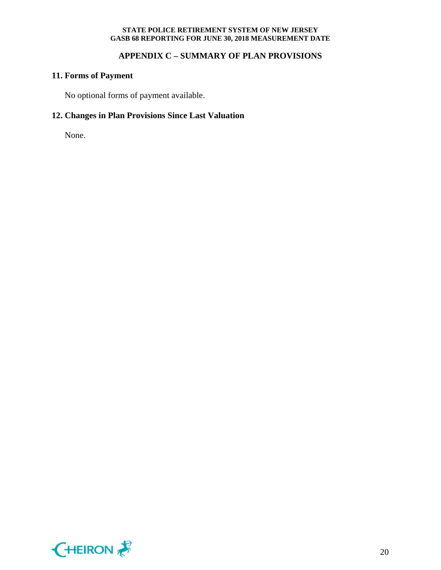## **APPENDIX C – SUMMARY OF PLAN PROVISIONS**

## **11. Forms of Payment**

No optional forms of payment available.

# **12. Changes in Plan Provisions Since Last Valuation**

None.

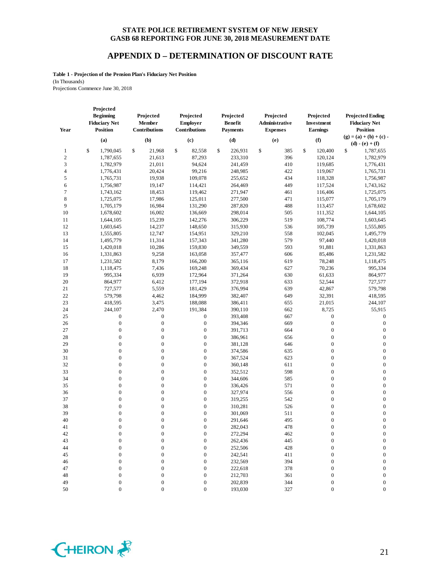### **APPENDIX D – DETERMINATION OF DISCOUNT RATE**

**Table 1 - Projection of the Pension Plan's Fiduciary Net Position** (In Thousands) Projections Commence June 30, 2018

| Year           | Projected<br><b>Beginning</b><br><b>Fiduciary Net</b><br><b>Position</b> | Projected<br>Member<br><b>Contributions</b> | Projected<br><b>Employer</b><br>Contributions | Projected<br><b>Benefit</b><br><b>Payments</b> | Projected<br>Administrative<br><b>Expenses</b> | Projected<br>Investment<br><b>Earnings</b> | <b>Projected Ending</b><br><b>Fiduciary Net</b><br><b>Position</b> |
|----------------|--------------------------------------------------------------------------|---------------------------------------------|-----------------------------------------------|------------------------------------------------|------------------------------------------------|--------------------------------------------|--------------------------------------------------------------------|
|                | (a)                                                                      | (b)                                         | (c)                                           | (d)                                            | (e)                                            | (f)                                        | $(g) = (a) + (b) + (c)$                                            |
|                |                                                                          |                                             |                                               |                                                |                                                |                                            | $(d) - (e) + (f)$                                                  |
| 1              | \$<br>1,790,045                                                          | \$<br>21.968                                | \$<br>82,558                                  | \$<br>226,931                                  | \$<br>385                                      | \$<br>120,400                              | \$<br>1,787,655                                                    |
| 2              | 1,787,655                                                                | 21,613                                      | 87,293                                        | 233,310                                        | 396                                            | 120,124                                    | 1,782,979                                                          |
| 3              | 1,782,979                                                                | 21,011                                      | 94,624                                        | 241,459                                        | 410                                            | 119,685                                    | 1,776,431                                                          |
| $\overline{4}$ | 1,776,431                                                                | 20,424                                      | 99,216                                        | 248,985                                        | 422                                            | 119,067                                    | 1,765,731                                                          |
| 5              | 1,765,731                                                                | 19,938                                      | 109,078                                       | 255,652                                        | 434                                            | 118,328                                    | 1,756,987                                                          |
| 6              | 1,756,987                                                                | 19,147                                      | 114,421                                       | 264,469                                        | 449                                            | 117,524                                    | 1,743,162                                                          |
| 7              | 1,743,162                                                                | 18,453                                      | 119,462                                       | 271,947                                        | 461                                            | 116,406                                    | 1,725,075                                                          |
| 8              | 1,725,075                                                                | 17,986                                      | 125,011                                       | 277,500                                        | 471                                            | 115,077                                    | 1,705,179                                                          |
| 9              | 1,705,179                                                                | 16,984                                      | 131,290                                       | 287,820                                        | 488                                            | 113,457                                    | 1,678,602                                                          |
| 10             | 1,678,602                                                                | 16,002                                      | 136,669                                       | 298,014                                        | 505                                            | 111,352                                    | 1,644,105                                                          |
| 11             | 1,644,105                                                                | 15,239                                      | 142,276                                       | 306,229                                        | 519                                            | 108,774                                    | 1,603,645                                                          |
| 12             | 1,603,645                                                                | 14,237                                      | 148,650                                       | 315,930                                        | 536                                            | 105,739                                    | 1,555,805                                                          |
| 13             | 1,555,805                                                                | 12,747                                      | 154,951                                       | 329,210                                        | 558                                            | 102,045                                    | 1,495,779                                                          |
| 14             | 1,495,779                                                                | 11,314                                      | 157,343                                       | 341,280                                        | 579                                            | 97,440                                     | 1,420,018                                                          |
| 15             | 1,420,018                                                                | 10,286                                      | 159,830                                       | 349,559                                        | 593                                            | 91,881                                     | 1,331,863                                                          |
| 16             | 1,331,863                                                                | 9,258                                       | 163,058                                       | 357,477                                        | 606                                            | 85,486                                     | 1,231,582                                                          |
| 17             | 1,231,582                                                                | 8,179                                       | 166,200                                       | 365,116                                        | 619                                            | 78,248                                     | 1,118,475                                                          |
| 18             | 1,118,475                                                                | 7,436                                       | 169,248                                       | 369,434                                        | 627                                            | 70,236                                     | 995,334                                                            |
| 19             | 995,334                                                                  | 6,939                                       | 172,964                                       | 371,264                                        | 630                                            | 61,633                                     | 864,977                                                            |
| 20             | 864,977                                                                  | 6,412                                       | 177,194                                       | 372,918                                        | 633                                            | 52,544                                     | 727,577                                                            |
| 21             | 727,577                                                                  | 5,559                                       | 181,429                                       | 376,994                                        | 639                                            | 42,867                                     | 579,798                                                            |
| 22             | 579,798                                                                  | 4,462                                       | 184,999                                       | 382,407                                        | 649                                            | 32,391                                     | 418,595                                                            |
| 23             | 418,595                                                                  | 3,475                                       | 188,088                                       | 386,411                                        | 655                                            | 21,015                                     | 244,107                                                            |
| 24             | 244,107                                                                  | 2,470                                       | 191,384                                       | 390,110                                        | 662                                            | 8,725                                      | 55,915                                                             |
| 25             | $\boldsymbol{0}$                                                         | 0                                           | $\boldsymbol{0}$                              | 393,408                                        | 667                                            | $\boldsymbol{0}$                           | $\boldsymbol{0}$                                                   |
| 26             | $\boldsymbol{0}$                                                         | $\boldsymbol{0}$                            | $\boldsymbol{0}$                              | 394,346                                        | 669                                            | $\boldsymbol{0}$                           | $\boldsymbol{0}$                                                   |
| 27             | $\boldsymbol{0}$                                                         | $\boldsymbol{0}$                            | $\boldsymbol{0}$                              | 391,713                                        | 664                                            | $\boldsymbol{0}$                           | $\boldsymbol{0}$                                                   |
| 28             | $\boldsymbol{0}$                                                         | $\boldsymbol{0}$                            | $\boldsymbol{0}$                              | 386,961                                        | 656                                            | $\boldsymbol{0}$                           | $\boldsymbol{0}$                                                   |
| 29             | $\boldsymbol{0}$                                                         | $\mathbf{0}$                                | $\boldsymbol{0}$                              | 381,128                                        | 646                                            | $\boldsymbol{0}$                           | $\boldsymbol{0}$                                                   |
| 30             | $\boldsymbol{0}$                                                         | $\mathbf{0}$                                | $\boldsymbol{0}$                              | 374,586                                        | 635                                            | $\boldsymbol{0}$                           | $\boldsymbol{0}$                                                   |
| 31             | $\boldsymbol{0}$                                                         | $\boldsymbol{0}$                            | $\boldsymbol{0}$                              | 367,524                                        | 623                                            | $\boldsymbol{0}$                           | $\boldsymbol{0}$                                                   |
| 32             | $\boldsymbol{0}$                                                         | $\boldsymbol{0}$                            | $\boldsymbol{0}$                              | 360,148                                        | 611                                            | $\boldsymbol{0}$                           | $\boldsymbol{0}$                                                   |
| 33             | $\boldsymbol{0}$                                                         | $\boldsymbol{0}$                            | $\boldsymbol{0}$                              | 352,512                                        | 598                                            | $\boldsymbol{0}$                           | $\boldsymbol{0}$                                                   |
| 34             | $\boldsymbol{0}$                                                         | $\mathbf{0}$                                | $\boldsymbol{0}$                              | 344,606                                        | 585                                            | $\boldsymbol{0}$                           | $\boldsymbol{0}$                                                   |
| 35             | $\boldsymbol{0}$                                                         | $\mathbf{0}$                                | $\boldsymbol{0}$                              | 336,426                                        | 571                                            | $\boldsymbol{0}$                           | $\boldsymbol{0}$                                                   |
| 36             | $\boldsymbol{0}$                                                         | $\boldsymbol{0}$                            | $\boldsymbol{0}$                              | 327,974                                        | 556                                            | $\boldsymbol{0}$                           | $\boldsymbol{0}$                                                   |
| 37             | $\boldsymbol{0}$                                                         | $\boldsymbol{0}$                            | $\boldsymbol{0}$                              | 319,255                                        | 542                                            | $\boldsymbol{0}$                           | $\boldsymbol{0}$                                                   |
| 38             | $\boldsymbol{0}$                                                         | $\boldsymbol{0}$                            | $\boldsymbol{0}$                              | 310,281                                        | 526                                            | $\boldsymbol{0}$                           | $\boldsymbol{0}$                                                   |
| 39             | $\boldsymbol{0}$                                                         | $\overline{0}$                              | $\mathbf{0}$                                  | 301,069                                        | 511                                            | $\boldsymbol{0}$                           | $\boldsymbol{0}$                                                   |
| 40             | $\boldsymbol{0}$                                                         | $\overline{0}$                              | $\boldsymbol{0}$                              | 291,646                                        | 495                                            | $\boldsymbol{0}$                           | $\boldsymbol{0}$                                                   |
| 41             | $\Omega$                                                                 | $\Omega$                                    | $\Omega$                                      | 282,043                                        | 478                                            | $\Omega$                                   | $\Omega$                                                           |
| 42             | $\boldsymbol{0}$                                                         | 0                                           | $\boldsymbol{0}$                              | 272,294                                        | 462                                            | 0                                          | $\boldsymbol{0}$                                                   |
| 43             | $\boldsymbol{0}$                                                         | $\boldsymbol{0}$                            | $\boldsymbol{0}$                              | 262,436                                        | 445                                            | 0                                          | $\boldsymbol{0}$                                                   |
| 44             | $\boldsymbol{0}$                                                         | 0                                           | $\boldsymbol{0}$                              | 252,506                                        | 428                                            | $\boldsymbol{0}$                           | $\boldsymbol{0}$                                                   |
| 45             | $\boldsymbol{0}$                                                         | 0                                           | $\boldsymbol{0}$                              | 242,541                                        | 411                                            | 0                                          | $\boldsymbol{0}$                                                   |
| 46             | $\boldsymbol{0}$                                                         | 0                                           | $\boldsymbol{0}$                              | 232,569                                        | 394                                            | $\boldsymbol{0}$                           | $\boldsymbol{0}$                                                   |
| 47             | $\boldsymbol{0}$                                                         | 0                                           | $\boldsymbol{0}$                              | 222,618                                        | 378                                            | 0                                          | $\boldsymbol{0}$                                                   |
| 48             | $\boldsymbol{0}$                                                         | 0                                           | $\boldsymbol{0}$                              | 212,703                                        | 361                                            | 0                                          | $\boldsymbol{0}$                                                   |
| 49             | $\boldsymbol{0}$                                                         | $\boldsymbol{0}$                            | $\boldsymbol{0}$                              | 202,839                                        | 344                                            | $\boldsymbol{0}$                           | $\boldsymbol{0}$                                                   |

50 0 0 0 193,030 327 0 0

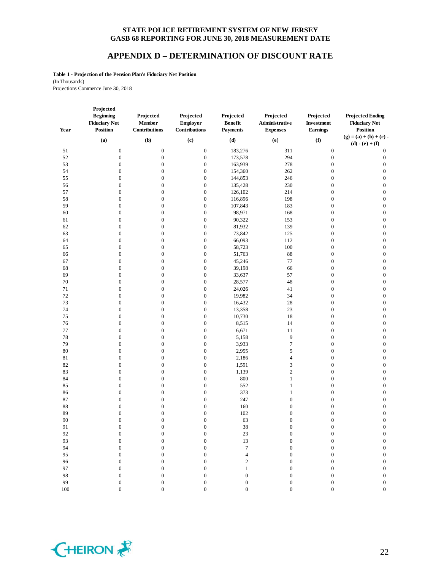#### **APPENDIX D – DETERMINATION OF DISCOUNT RATE**

**Table 1 - Projection of the Pension Plan's Fiduciary Net Position** (In Thousands) Projections Commence June 30, 2018

| Year | Projected<br><b>Beginning</b><br><b>Fiduciary Net</b><br><b>Position</b> | Projected<br>Member<br><b>Contributions</b> | Projected<br><b>Employer</b><br><b>Contributions</b> | Projected<br><b>Benefit</b><br><b>Payments</b> | Projected<br>Administrative<br><b>Expenses</b> | Projected<br>Investment<br><b>Earnings</b> | <b>Projected Ending</b><br><b>Fiduciary Net</b><br><b>Position</b> |
|------|--------------------------------------------------------------------------|---------------------------------------------|------------------------------------------------------|------------------------------------------------|------------------------------------------------|--------------------------------------------|--------------------------------------------------------------------|
|      | (a)                                                                      | (b)                                         | (c)                                                  | (d)                                            | (e)                                            | (f)                                        | $(g) = (a) + (b) + (c)$                                            |
|      |                                                                          |                                             |                                                      |                                                |                                                |                                            | $(d) - (e) + (f)$                                                  |
| 51   | $\boldsymbol{0}$                                                         | $\boldsymbol{0}$                            | $\boldsymbol{0}$                                     | 183,276                                        | 311                                            | $\boldsymbol{0}$                           | $\boldsymbol{0}$                                                   |
| 52   | $\boldsymbol{0}$                                                         | $\boldsymbol{0}$                            | $\boldsymbol{0}$                                     | 173,578                                        | 294                                            | $\boldsymbol{0}$                           | $\boldsymbol{0}$                                                   |
| 53   | $\boldsymbol{0}$                                                         | $\boldsymbol{0}$                            | $\boldsymbol{0}$                                     | 163,939                                        | 278                                            | $\boldsymbol{0}$                           | $\boldsymbol{0}$                                                   |
| 54   | $\boldsymbol{0}$                                                         | $\boldsymbol{0}$                            | $\boldsymbol{0}$                                     | 154,360                                        | 262                                            | $\boldsymbol{0}$                           | $\boldsymbol{0}$                                                   |
| 55   | $\boldsymbol{0}$                                                         | $\boldsymbol{0}$                            | $\mathbf{0}$                                         | 144,853                                        | 246                                            | $\boldsymbol{0}$                           | $\boldsymbol{0}$                                                   |
| 56   | $\boldsymbol{0}$                                                         | $\boldsymbol{0}$                            | $\boldsymbol{0}$                                     | 135,428                                        | 230                                            | $\boldsymbol{0}$                           | $\boldsymbol{0}$                                                   |
| 57   | $\boldsymbol{0}$                                                         | $\boldsymbol{0}$                            | $\mathbf{0}$                                         | 126,102                                        | 214                                            | $\boldsymbol{0}$                           | $\boldsymbol{0}$                                                   |
| 58   | $\boldsymbol{0}$                                                         | $\boldsymbol{0}$                            | $\boldsymbol{0}$                                     | 116,896                                        | 198                                            | $\boldsymbol{0}$                           | $\boldsymbol{0}$                                                   |
| 59   | $\boldsymbol{0}$                                                         | $\boldsymbol{0}$                            | $\boldsymbol{0}$                                     | 107,843                                        | 183                                            | $\boldsymbol{0}$                           | $\boldsymbol{0}$                                                   |
| 60   | $\boldsymbol{0}$                                                         | $\boldsymbol{0}$                            | $\boldsymbol{0}$                                     | 98,971                                         | 168                                            | $\boldsymbol{0}$                           | $\boldsymbol{0}$                                                   |
| 61   | $\boldsymbol{0}$                                                         | $\boldsymbol{0}$                            | $\boldsymbol{0}$                                     | 90,322                                         | 153                                            | $\boldsymbol{0}$                           | $\boldsymbol{0}$                                                   |
| 62   | $\boldsymbol{0}$                                                         | $\boldsymbol{0}$                            | $\boldsymbol{0}$                                     | 81,932                                         | 139                                            | $\boldsymbol{0}$                           | $\boldsymbol{0}$                                                   |
| 63   | $\boldsymbol{0}$                                                         | $\boldsymbol{0}$                            | $\boldsymbol{0}$                                     | 73,842                                         | 125                                            | $\boldsymbol{0}$                           | $\boldsymbol{0}$                                                   |
| 64   | $\boldsymbol{0}$                                                         | $\boldsymbol{0}$                            | $\mathbf{0}$                                         | 66,093                                         | 112                                            | $\boldsymbol{0}$                           | $\boldsymbol{0}$                                                   |
| 65   | $\boldsymbol{0}$                                                         | $\boldsymbol{0}$                            | $\boldsymbol{0}$                                     | 58,723                                         | 100                                            | $\boldsymbol{0}$                           | $\boldsymbol{0}$                                                   |
| 66   | $\boldsymbol{0}$                                                         | $\boldsymbol{0}$                            | $\boldsymbol{0}$                                     | 51,763                                         | 88                                             | $\boldsymbol{0}$                           | $\boldsymbol{0}$                                                   |
| 67   | $\boldsymbol{0}$                                                         | $\boldsymbol{0}$                            | $\boldsymbol{0}$                                     | 45,246                                         | 77                                             | $\boldsymbol{0}$                           | $\boldsymbol{0}$                                                   |
| 68   | $\boldsymbol{0}$                                                         | $\boldsymbol{0}$                            | $\boldsymbol{0}$                                     | 39,198                                         | 66                                             | $\boldsymbol{0}$                           | $\boldsymbol{0}$                                                   |
| 69   | $\boldsymbol{0}$                                                         | $\boldsymbol{0}$                            | $\mathbf{0}$                                         | 33,637                                         | 57                                             | $\boldsymbol{0}$                           | $\boldsymbol{0}$                                                   |
| 70   | $\boldsymbol{0}$                                                         | $\boldsymbol{0}$                            | $\boldsymbol{0}$                                     | 28,577                                         | 48                                             | $\boldsymbol{0}$                           | $\boldsymbol{0}$                                                   |
| 71   | $\boldsymbol{0}$                                                         | $\boldsymbol{0}$                            | $\boldsymbol{0}$                                     | 24,026                                         | 41                                             | $\boldsymbol{0}$                           | $\boldsymbol{0}$                                                   |
| 72   | $\boldsymbol{0}$                                                         | $\boldsymbol{0}$                            | $\boldsymbol{0}$                                     | 19,982                                         | 34                                             | $\boldsymbol{0}$                           | $\boldsymbol{0}$                                                   |
| 73   | $\boldsymbol{0}$                                                         | $\boldsymbol{0}$                            | $\boldsymbol{0}$                                     | 16,432                                         | 28                                             | $\boldsymbol{0}$                           | $\boldsymbol{0}$                                                   |
| 74   | $\boldsymbol{0}$                                                         | $\boldsymbol{0}$                            | $\mathbf{0}$                                         | 13,358                                         | 23                                             | $\boldsymbol{0}$                           | $\boldsymbol{0}$                                                   |
| 75   | $\boldsymbol{0}$                                                         | $\boldsymbol{0}$                            | $\boldsymbol{0}$                                     | 10,730                                         | 18                                             | $\boldsymbol{0}$                           | $\boldsymbol{0}$                                                   |
| 76   | $\boldsymbol{0}$                                                         | $\boldsymbol{0}$                            | $\boldsymbol{0}$                                     | 8,515                                          | 14                                             | $\boldsymbol{0}$                           | $\boldsymbol{0}$                                                   |
| 77   | $\boldsymbol{0}$                                                         | $\boldsymbol{0}$                            | $\boldsymbol{0}$                                     | 6,671                                          | 11                                             | $\boldsymbol{0}$                           | $\boldsymbol{0}$                                                   |
| 78   | $\boldsymbol{0}$                                                         | $\boldsymbol{0}$                            | $\boldsymbol{0}$                                     | 5,158                                          | 9                                              | $\boldsymbol{0}$                           | $\boldsymbol{0}$                                                   |
| 79   | $\boldsymbol{0}$                                                         | $\boldsymbol{0}$                            | $\mathbf{0}$                                         | 3,933                                          | $\tau$                                         | $\boldsymbol{0}$                           | $\boldsymbol{0}$                                                   |
| 80   | $\boldsymbol{0}$                                                         | $\boldsymbol{0}$                            | $\boldsymbol{0}$                                     | 2,955                                          | 5                                              | $\boldsymbol{0}$                           | $\boldsymbol{0}$                                                   |
| 81   | $\boldsymbol{0}$                                                         | $\boldsymbol{0}$                            | $\boldsymbol{0}$                                     | 2,186                                          | $\overline{4}$                                 | $\boldsymbol{0}$                           | $\boldsymbol{0}$                                                   |
| 82   | $\boldsymbol{0}$                                                         | $\boldsymbol{0}$                            | $\mathbf{0}$                                         | 1,591                                          | 3                                              | $\boldsymbol{0}$                           | $\boldsymbol{0}$                                                   |
| 83   | $\boldsymbol{0}$                                                         | $\boldsymbol{0}$                            | $\boldsymbol{0}$                                     | 1,139                                          | $\overline{2}$                                 | $\boldsymbol{0}$                           | $\boldsymbol{0}$                                                   |
| 84   | $\boldsymbol{0}$                                                         | $\boldsymbol{0}$                            | $\mathbf{0}$                                         | 800                                            | $\mathbf{1}$                                   | $\boldsymbol{0}$                           | $\boldsymbol{0}$                                                   |
| 85   | $\boldsymbol{0}$                                                         | $\boldsymbol{0}$                            | $\boldsymbol{0}$                                     | 552                                            | $\mathbf{1}$                                   | $\boldsymbol{0}$                           | $\boldsymbol{0}$                                                   |
| 86   | $\boldsymbol{0}$                                                         | $\boldsymbol{0}$                            | $\boldsymbol{0}$                                     | 373                                            | $\mathbf{1}$                                   | $\boldsymbol{0}$                           | $\boldsymbol{0}$                                                   |
| 87   | $\boldsymbol{0}$                                                         | $\boldsymbol{0}$                            | $\boldsymbol{0}$                                     | 247                                            | $\mathbf{0}$                                   | $\boldsymbol{0}$                           | $\boldsymbol{0}$                                                   |
| 88   | $\boldsymbol{0}$                                                         | $\boldsymbol{0}$                            | $\boldsymbol{0}$                                     | 160                                            | $\mathbf{0}$                                   | $\boldsymbol{0}$                           | $\boldsymbol{0}$                                                   |
| 89   | $\boldsymbol{0}$                                                         | $\boldsymbol{0}$                            | $\mathbf{0}$                                         | 102                                            | $\boldsymbol{0}$                               | $\boldsymbol{0}$                           | $\boldsymbol{0}$                                                   |
| 90   | $\boldsymbol{0}$                                                         | $\boldsymbol{0}$                            | $\boldsymbol{0}$                                     | 63                                             | $\boldsymbol{0}$                               | $\boldsymbol{0}$                           | $\boldsymbol{0}$                                                   |
| 91   | $\Omega$                                                                 | $\Omega$                                    | $\Omega$                                             | 38                                             | $\Omega$                                       | $\Omega$                                   | $\Omega$                                                           |
| 92   | $\boldsymbol{0}$                                                         | $\boldsymbol{0}$                            | $\boldsymbol{0}$                                     | $23\,$                                         | $\boldsymbol{0}$                               | 0                                          | $\boldsymbol{0}$                                                   |
| 93   | $\boldsymbol{0}$                                                         | $\boldsymbol{0}$                            | $\overline{0}$                                       | $13\,$                                         | $\boldsymbol{0}$                               | $\boldsymbol{0}$                           | $\boldsymbol{0}$                                                   |
| 94   | $\boldsymbol{0}$                                                         | $\boldsymbol{0}$                            | $\overline{0}$                                       | $\boldsymbol{7}$                               | $\boldsymbol{0}$                               | $\boldsymbol{0}$                           | $\boldsymbol{0}$                                                   |
| 95   | $\boldsymbol{0}$                                                         | $\boldsymbol{0}$                            | $\boldsymbol{0}$                                     | $\overline{\mathbf{4}}$                        | $\boldsymbol{0}$                               | $\boldsymbol{0}$                           | $\boldsymbol{0}$                                                   |
| 96   | $\boldsymbol{0}$                                                         | $\boldsymbol{0}$                            | $\boldsymbol{0}$                                     | $\overline{\mathbf{c}}$                        | $\boldsymbol{0}$                               | $\boldsymbol{0}$                           | $\boldsymbol{0}$                                                   |
| 97   | $\boldsymbol{0}$                                                         | $\boldsymbol{0}$                            | $\boldsymbol{0}$                                     | $\,1$                                          | $\boldsymbol{0}$                               | $\boldsymbol{0}$                           | $\boldsymbol{0}$                                                   |
| 98   | $\boldsymbol{0}$                                                         | $\boldsymbol{0}$                            | $\boldsymbol{0}$                                     | $\boldsymbol{0}$                               | $\boldsymbol{0}$                               | $\boldsymbol{0}$                           | $\boldsymbol{0}$                                                   |
| 99   | $\mathbf{0}$                                                             | $\mathbf{0}$                                | $\boldsymbol{0}$                                     | $\boldsymbol{0}$                               | $\boldsymbol{0}$                               | $\boldsymbol{0}$                           | $\boldsymbol{0}$                                                   |

100 0 0 0 0 0 0 0

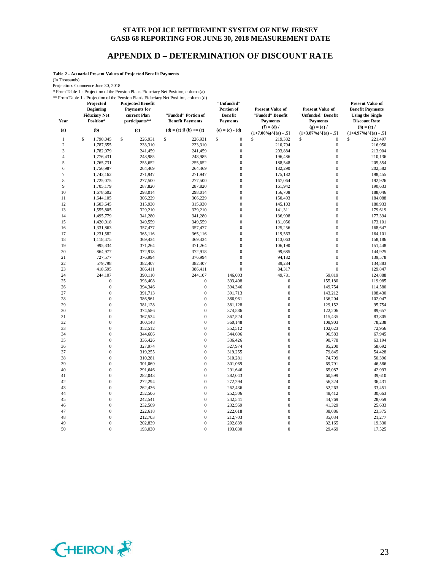## **APPENDIX D – DETERMINATION OF DISCOUNT RATE**

**Table 2 - Actuarial Present Values of Projected Benefit Payments**

(In Thousands)

Projections Commence June 30, 2018

\* From Table 1 - Projection of the Pension Plan's Fiduciary Net Position, column (a)

\*\* From Table 1 - Projection of the Pension Plan's Fiduciary Net Position, column (d)

| Year         | Projected<br><b>Beginning</b><br><b>Fiduciary Net</b><br>Position* | <b>Projected Benefit</b><br><b>Payments for</b><br>current Plan<br>participants** | Trom Table 1 - I roječnom orule i čilstom i tam's i tudelary i veci ostubil, columni (u)<br>"Funded" Portion of<br><b>Benefit Payments</b> | "Unfunded"<br>Portion of<br><b>Benefit</b><br><b>Payments</b> | Present Value of<br>"Funded" Benefit<br><b>Payments</b> | Present Value of<br>"Unfunded" Benefit<br><b>Payments</b> | <b>Present Value of</b><br><b>Benefit Payments</b><br><b>Using the Single</b><br><b>Discount Rate</b> |
|--------------|--------------------------------------------------------------------|-----------------------------------------------------------------------------------|--------------------------------------------------------------------------------------------------------------------------------------------|---------------------------------------------------------------|---------------------------------------------------------|-----------------------------------------------------------|-------------------------------------------------------------------------------------------------------|
| (a)          | (b)                                                                | (c)                                                                               | (d) = (c) if (b) >= (c)                                                                                                                    | $(e) = (c) - (d)$                                             | $(f) = (d) /$                                           | $(g) = (e) /$                                             | $(h) = (c) /$                                                                                         |
|              |                                                                    |                                                                                   |                                                                                                                                            |                                                               | $(1+7.00\%)$ <sup>^</sup> [(a) - .5]                    | $(1+3.87\%)$ <sup>^</sup> [(a) - .5]                      | $(1+4.97\%)$ <sup>^</sup> [(a) - .5]                                                                  |
| $\mathbf{1}$ | \$<br>1,790,045                                                    | \$<br>226,931                                                                     | \$<br>226,931                                                                                                                              | \$<br>$\boldsymbol{0}$                                        | \$<br>219,382                                           | \$<br>$\theta$                                            | \$<br>221,497                                                                                         |
| $\mathbf{2}$ | 1,787,655                                                          | 233,310                                                                           | 233,310                                                                                                                                    | $\boldsymbol{0}$                                              | 210,794                                                 | $\boldsymbol{0}$                                          | 216,950                                                                                               |
| 3            | 1,782,979                                                          | 241,459                                                                           | 241,459                                                                                                                                    | $\boldsymbol{0}$                                              | 203,884                                                 | $\boldsymbol{0}$                                          | 213,904                                                                                               |
| 4            | 1,776,431                                                          | 248,985                                                                           | 248,985                                                                                                                                    | $\boldsymbol{0}$<br>$\mathbf{0}$                              | 196,486                                                 | $\boldsymbol{0}$<br>$\mathbf{0}$                          | 210,136                                                                                               |
| 5            | 1,765,731                                                          | 255,652                                                                           | 255,652                                                                                                                                    |                                                               | 188,548                                                 |                                                           | 205,554                                                                                               |
| 6            | 1,756,987                                                          | 264,469                                                                           | 264,469                                                                                                                                    | $\boldsymbol{0}$<br>$\boldsymbol{0}$                          | 182,290                                                 | $\boldsymbol{0}$<br>$\boldsymbol{0}$                      | 202,582                                                                                               |
| 7<br>8       | 1,743,162                                                          | 271,947                                                                           | 271,947                                                                                                                                    | $\boldsymbol{0}$                                              | 175,182                                                 | $\mathbf{0}$                                              | 198,455                                                                                               |
| 9            | 1,725,075<br>1,705,179                                             | 277,500<br>287,820                                                                | 277,500<br>287,820                                                                                                                         | $\boldsymbol{0}$                                              | 167,064<br>161,942                                      | $\boldsymbol{0}$                                          | 192,926<br>190,633                                                                                    |
| 10           | 1,678,602                                                          | 298,014                                                                           | 298,014                                                                                                                                    | $\boldsymbol{0}$                                              | 156,708                                                 | $\boldsymbol{0}$                                          | 188,046                                                                                               |
| 11           | 1,644,105                                                          |                                                                                   |                                                                                                                                            | $\boldsymbol{0}$                                              |                                                         | $\overline{0}$                                            | 184,088                                                                                               |
| 12           | 1,603,645                                                          | 306,229<br>315,930                                                                | 306,229<br>315,930                                                                                                                         | $\boldsymbol{0}$                                              | 150,493<br>145,103                                      | $\mathbf{0}$                                              | 180,933                                                                                               |
| 13           | 1,555,805                                                          | 329,210                                                                           | 329,210                                                                                                                                    | $\boldsymbol{0}$                                              | 141,311                                                 | $\boldsymbol{0}$                                          | 179,619                                                                                               |
| 14           | 1,495,779                                                          | 341,280                                                                           | 341,280                                                                                                                                    | $\mathbf{0}$                                                  | 136,908                                                 | $\overline{0}$                                            | 177,394                                                                                               |
| 15           |                                                                    |                                                                                   |                                                                                                                                            | $\boldsymbol{0}$                                              |                                                         | $\boldsymbol{0}$                                          |                                                                                                       |
| 16           | 1,420,018<br>1,331,863                                             | 349,559<br>357,477                                                                | 349,559<br>357,477                                                                                                                         | $\boldsymbol{0}$                                              | 131,056<br>125,256                                      | $\boldsymbol{0}$                                          | 173,101<br>168,647                                                                                    |
| 17           | 1,231,582                                                          | 365,116                                                                           | 365,116                                                                                                                                    | $\boldsymbol{0}$                                              | 119,563                                                 | $\overline{0}$                                            | 164,101                                                                                               |
| 18           | 1,118,475                                                          | 369,434                                                                           | 369,434                                                                                                                                    | $\boldsymbol{0}$                                              | 113,063                                                 | $\boldsymbol{0}$                                          | 158,186                                                                                               |
| 19           | 995,334                                                            | 371,264                                                                           | 371,264                                                                                                                                    | $\boldsymbol{0}$                                              | 106,190                                                 | $\mathbf{0}$                                              | 151,448                                                                                               |
| 20           | 864,977                                                            | 372,918                                                                           | 372,918                                                                                                                                    | $\boldsymbol{0}$                                              | 99,685                                                  | $\overline{0}$                                            | 144,925                                                                                               |
| 21           | 727,577                                                            | 376,994                                                                           | 376,994                                                                                                                                    | $\boldsymbol{0}$                                              | 94,182                                                  | $\boldsymbol{0}$                                          | 139,578                                                                                               |
| 22           | 579,798                                                            | 382,407                                                                           | 382,407                                                                                                                                    | $\boldsymbol{0}$                                              | 89,284                                                  | $\mathbf{0}$                                              | 134,883                                                                                               |
| 23           | 418,595                                                            | 386,411                                                                           | 386,411                                                                                                                                    | $\overline{0}$                                                | 84,317                                                  | $\overline{0}$                                            | 129,847                                                                                               |
| 24           | 244,107                                                            | 390,110                                                                           | 244,107                                                                                                                                    | 146,003                                                       | 49,781                                                  | 59,819                                                    | 124,888                                                                                               |
| 25           | $\mathbf{0}$                                                       | 393,408                                                                           | $\boldsymbol{0}$                                                                                                                           | 393,408                                                       | $\mathbf{0}$                                            | 155,180                                                   | 119,985                                                                                               |
| 26           | $\mathbf{0}$                                                       | 394,346                                                                           | $\boldsymbol{0}$                                                                                                                           | 394,346                                                       | $\mathbf{0}$                                            | 149,754                                                   | 114,580                                                                                               |
| 27           | $\mathbf 0$                                                        | 391,713                                                                           | $\boldsymbol{0}$                                                                                                                           | 391,713                                                       | $\boldsymbol{0}$                                        | 143,212                                                   | 108,430                                                                                               |
| 28           | $\mathbf{0}$                                                       | 386,961                                                                           | $\bf{0}$                                                                                                                                   | 386,961                                                       | $\boldsymbol{0}$                                        | 136,204                                                   | 102,047                                                                                               |
| 29           | $\mathbf{0}$                                                       | 381,128                                                                           | $\bf{0}$                                                                                                                                   | 381,128                                                       | $\overline{0}$                                          | 129,152                                                   | 95,754                                                                                                |
| 30           | $\mathbf 0$                                                        | 374,586                                                                           | $\mathbf{0}$                                                                                                                               | 374,586                                                       | $\overline{0}$                                          | 122,206                                                   | 89,657                                                                                                |
| 31           | $\mathbf{0}$                                                       | 367,524                                                                           | $\bf{0}$                                                                                                                                   | 367,524                                                       | $\boldsymbol{0}$                                        | 115,435                                                   | 83,805                                                                                                |
| 32           | $\mathbf{0}$                                                       | 360,148                                                                           | $\mathbf{0}$                                                                                                                               | 360,148                                                       | $\mathbf{0}$                                            | 108,903                                                   | 78,238                                                                                                |
| 33           | $\mathbf 0$                                                        | 352,512                                                                           | $\boldsymbol{0}$                                                                                                                           | 352,512                                                       | $\boldsymbol{0}$                                        | 102,623                                                   | 72,956                                                                                                |
| 34           | $\mathbf{0}$                                                       | 344,606                                                                           | $\bf{0}$                                                                                                                                   | 344,606                                                       | $\boldsymbol{0}$                                        | 96,583                                                    | 67,945                                                                                                |
| 35           | $\mathbf{0}$                                                       | 336,426                                                                           | $\mathbf{0}$                                                                                                                               | 336,426                                                       | $\mathbf{0}$                                            | 90,778                                                    | 63,194                                                                                                |
| 36           | $\mathbf{0}$                                                       | 327,974                                                                           | $\overline{0}$                                                                                                                             | 327,974                                                       | $\overline{0}$                                          | 85,200                                                    | 58,692                                                                                                |
| 37           | $\mathbf{0}$                                                       | 319,255                                                                           | $\bf{0}$                                                                                                                                   | 319,255                                                       | $\bf{0}$                                                | 79,845                                                    | 54,428                                                                                                |
| 38           | $\mathbf{0}$                                                       | 310,281                                                                           | $\bf{0}$                                                                                                                                   | 310,281                                                       | $\mathbf 0$                                             | 74,709                                                    | 50,396                                                                                                |
| 39           | $\mathbf{0}$                                                       | 301,069                                                                           | $\overline{0}$                                                                                                                             | 301,069                                                       | $\mathbf 0$                                             | 69,791                                                    | 46,586                                                                                                |
| 40           | $\mathbf{0}$                                                       | 291,646                                                                           | $\bf{0}$                                                                                                                                   | 291,646                                                       | $\bf{0}$                                                | 65,087                                                    | 42,993                                                                                                |
| 41           | $\mathbf{0}$                                                       | 282,043                                                                           | $\bf{0}$                                                                                                                                   | 282,043                                                       | $\mathbf 0$                                             | 60,599                                                    | 39,610                                                                                                |
| 42           | $\mathbf{0}$                                                       | 272,294                                                                           | $\bf{0}$                                                                                                                                   | 272,294                                                       | $\mathbf 0$                                             | 56,324                                                    | 36,431                                                                                                |
| 43           | $\mathbf{0}$                                                       | 262,436                                                                           | $\mathbf{0}$                                                                                                                               | 262,436                                                       | $\overline{0}$                                          | 52,263                                                    | 33,451                                                                                                |
| 44           | $\mathbf{0}$                                                       | 252,506                                                                           | $\bf{0}$                                                                                                                                   | 252,506                                                       | $\mathbf{0}$                                            | 48,412                                                    | 30,663                                                                                                |
| 45           | $\mathbf{0}$                                                       | 242,541                                                                           | $\bf{0}$                                                                                                                                   | 242,541                                                       | $\bf{0}$                                                | 44,769                                                    | 28,059                                                                                                |
| 46           | $\mathbf{0}$                                                       | 232,569                                                                           | $\bf{0}$                                                                                                                                   | 232,569                                                       | $\bf{0}$                                                | 41,329                                                    | 25,633                                                                                                |
| 47           | $\overline{0}$                                                     | 222,618                                                                           | $\overline{0}$                                                                                                                             | 222,618                                                       | $\overline{0}$                                          | 38,086                                                    | 23,375                                                                                                |
| 48           | $\mathbf{0}$                                                       | 212,703                                                                           | $\bf{0}$                                                                                                                                   | 212,703                                                       | $\overline{0}$                                          | 35,034                                                    | 21,277                                                                                                |
| 49           | $\mathbf{0}$                                                       | 202,839                                                                           | $\bf{0}$                                                                                                                                   | 202,839                                                       | $\overline{0}$                                          | 32,165                                                    | 19,330                                                                                                |
| 50           | $\theta$                                                           | 193,030                                                                           | $\theta$                                                                                                                                   | 193,030                                                       | $\theta$                                                | 29,469                                                    | 17,525                                                                                                |

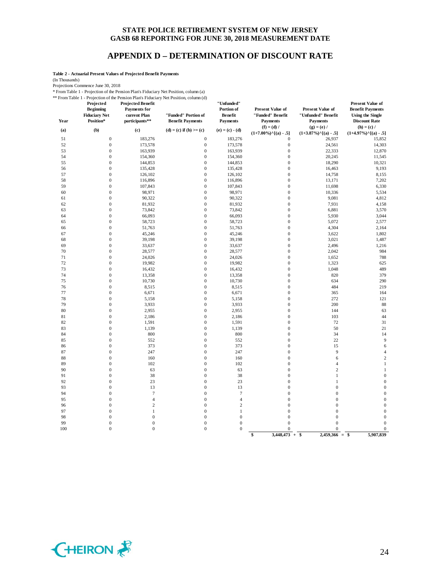#### **APPENDIX D – DETERMINATION OF DISCOUNT RATE**

**Table 2 - Actuarial Present Values of Projected Benefit Payments**

(In Thousands)

Projections Commence June 30, 2018

\* From Table 1 - Projection of the Pension Plan's Fiduciary Net Position, column (a)

\*\* From Table 1 - Projection of the Pension Plan's Fiduciary Net Position, column (d)

| Year | Projected<br><b>Beginning</b><br><b>Fiduciary Net</b><br>Position* | <b>Projected Benefit</b><br>Payments for<br>current Plan<br>participants** | Profit Table 1 - Projection of the Pension Plan's Piquelary Net Position, column (d)<br>"Funded" Portion of<br><b>Benefit Payments</b> | "Unfunded"<br>Portion of<br><b>Benefit</b><br><b>Payments</b> | <b>Present Value of</b><br>"Funded" Benefit<br><b>Payments</b> | Present Value of<br>"Unfunded" Benefit<br><b>Payments</b> | <b>Present Value of</b><br><b>Benefit Payments</b><br><b>Using the Single</b><br><b>Discount Rate</b> |
|------|--------------------------------------------------------------------|----------------------------------------------------------------------------|----------------------------------------------------------------------------------------------------------------------------------------|---------------------------------------------------------------|----------------------------------------------------------------|-----------------------------------------------------------|-------------------------------------------------------------------------------------------------------|
| (a)  | (b)                                                                | (c)                                                                        | (d) = (c) if (b) >= (c)                                                                                                                | $(e) = (c) - (d)$                                             | $(f) = (d) /$<br>$(1+7.00\%)$ <sup>^</sup> [(a) - .5]          | $(g) = (e) /$<br>$(1+3.87\%)$ <sup>^</sup> [(a) - .5]     | $(h) = (c) /$<br>$(1+4.97\%)$ <sup>^</sup> [(a) - .5]                                                 |
| 51   | $\boldsymbol{0}$                                                   | 183,276                                                                    | $\boldsymbol{0}$                                                                                                                       | 183,276                                                       | $\boldsymbol{0}$                                               | 26,937                                                    | 15,852                                                                                                |
| 52   | $\mathbf{0}$                                                       | 173,578                                                                    | $\mathbf{0}$                                                                                                                           | 173,578                                                       | $\mathbf{0}$                                                   | 24,561                                                    | 14,303                                                                                                |
| 53   | $\boldsymbol{0}$                                                   | 163,939                                                                    | $\boldsymbol{0}$                                                                                                                       | 163,939                                                       | $\boldsymbol{0}$                                               | 22,333                                                    | 12,870                                                                                                |
| 54   | $\boldsymbol{0}$                                                   | 154,360                                                                    | $\boldsymbol{0}$                                                                                                                       | 154,360                                                       | $\boldsymbol{0}$                                               | 20,245                                                    | 11,545                                                                                                |
| 55   | $\boldsymbol{0}$                                                   | 144,853                                                                    | $\boldsymbol{0}$                                                                                                                       | 144,853                                                       | $\boldsymbol{0}$                                               | 18,290                                                    | 10,321                                                                                                |
| 56   | $\mathbf{0}$                                                       | 135,428                                                                    | $\mathbf{0}$                                                                                                                           | 135,428                                                       | $\boldsymbol{0}$                                               | 16,463                                                    | 9,193                                                                                                 |
| 57   | $\boldsymbol{0}$                                                   | 126,102                                                                    | $\mathbf 0$                                                                                                                            | 126,102                                                       | $\boldsymbol{0}$                                               | 14,758                                                    | 8,155                                                                                                 |
| 58   | $\boldsymbol{0}$                                                   | 116,896                                                                    | $\mathbf{0}$                                                                                                                           | 116,896                                                       | $\boldsymbol{0}$                                               | 13,171                                                    | 7,202                                                                                                 |
| 59   | $\boldsymbol{0}$                                                   | 107,843                                                                    | $\boldsymbol{0}$                                                                                                                       | 107,843                                                       | $\boldsymbol{0}$                                               | 11,698                                                    | 6,330                                                                                                 |
| 60   | $\boldsymbol{0}$                                                   | 98,971                                                                     | $\boldsymbol{0}$                                                                                                                       | 98,971                                                        | $\boldsymbol{0}$                                               | 10,336                                                    | 5,534                                                                                                 |
| 61   | $\boldsymbol{0}$                                                   | 90,322                                                                     | $\mathbf{0}$                                                                                                                           | 90,322                                                        | $\boldsymbol{0}$                                               | 9,081                                                     | 4,812                                                                                                 |
| 62   | $\boldsymbol{0}$                                                   | 81,932                                                                     | $\mathbf{0}$                                                                                                                           | 81,932                                                        | $\boldsymbol{0}$                                               | 7,931                                                     | 4,158                                                                                                 |
| 63   | $\boldsymbol{0}$                                                   | 73,842                                                                     | $\boldsymbol{0}$                                                                                                                       | 73,842                                                        | $\boldsymbol{0}$                                               | 6,881                                                     | 3,570                                                                                                 |
| 64   | $\boldsymbol{0}$                                                   | 66,093                                                                     | $\boldsymbol{0}$                                                                                                                       | 66,093                                                        | $\boldsymbol{0}$                                               | 5,930                                                     | 3,044                                                                                                 |
| 65   | $\boldsymbol{0}$                                                   | 58,723                                                                     | $\mathbf{0}$                                                                                                                           | 58,723                                                        | $\boldsymbol{0}$                                               | 5,072                                                     | 2,577                                                                                                 |
| 66   | $\mathbf{0}$                                                       | 51,763                                                                     | $\mathbf{0}$                                                                                                                           | 51,763                                                        | $\mathbf{0}$                                                   | 4,304                                                     | 2,164                                                                                                 |
| 67   | $\boldsymbol{0}$                                                   | 45,246                                                                     | $\mathbf{0}$                                                                                                                           | 45,246                                                        | $\boldsymbol{0}$                                               | 3,622                                                     | 1,802                                                                                                 |
| 68   | $\boldsymbol{0}$                                                   | 39,198                                                                     | $\boldsymbol{0}$                                                                                                                       | 39,198                                                        | $\boldsymbol{0}$                                               | 3,021                                                     | 1,487                                                                                                 |
| 69   | $\boldsymbol{0}$                                                   | 33,637                                                                     | $\boldsymbol{0}$                                                                                                                       | 33,637                                                        | $\boldsymbol{0}$                                               | 2,496                                                     | 1,216                                                                                                 |
| 70   | $\boldsymbol{0}$                                                   | 28,577                                                                     | $\mathbf{0}$                                                                                                                           | 28,577                                                        | $\boldsymbol{0}$                                               | 2,042                                                     | 984                                                                                                   |
| 71   | $\boldsymbol{0}$                                                   | 24,026                                                                     | $\boldsymbol{0}$                                                                                                                       | 24,026                                                        | $\boldsymbol{0}$                                               | 1,652                                                     | 788                                                                                                   |
| 72   | $\boldsymbol{0}$                                                   | 19,982                                                                     | $\boldsymbol{0}$                                                                                                                       | 19,982                                                        | $\boldsymbol{0}$                                               | 1,323                                                     | 625                                                                                                   |
| 73   | $\boldsymbol{0}$                                                   | 16,432                                                                     | $\mathbf{0}$                                                                                                                           | 16,432                                                        | $\boldsymbol{0}$                                               | 1,048                                                     | 489                                                                                                   |
| 74   | $\boldsymbol{0}$                                                   | 13,358                                                                     | $\boldsymbol{0}$                                                                                                                       | 13,358                                                        | $\boldsymbol{0}$                                               | 820                                                       | 379                                                                                                   |
| 75   | $\boldsymbol{0}$                                                   | 10,730                                                                     | $\boldsymbol{0}$                                                                                                                       | 10,730                                                        | $\boldsymbol{0}$                                               | 634                                                       | 290                                                                                                   |
| 76   | $\boldsymbol{0}$                                                   | 8,515                                                                      | $\boldsymbol{0}$                                                                                                                       | 8,515                                                         | $\boldsymbol{0}$                                               | 484                                                       | 219                                                                                                   |
| 77   | $\boldsymbol{0}$                                                   | 6,671                                                                      | $\mathbf{0}$                                                                                                                           | 6,671                                                         | $\boldsymbol{0}$                                               | 365                                                       | 164                                                                                                   |
| 78   | $\boldsymbol{0}$                                                   | 5,158                                                                      | $\boldsymbol{0}$                                                                                                                       | 5,158                                                         | $\boldsymbol{0}$                                               | 272                                                       | 121                                                                                                   |
| 79   | $\boldsymbol{0}$                                                   | 3,933                                                                      | $\boldsymbol{0}$                                                                                                                       | 3,933                                                         | $\boldsymbol{0}$                                               | 200                                                       | 88                                                                                                    |
| 80   | $\boldsymbol{0}$                                                   | 2,955                                                                      | $\boldsymbol{0}$                                                                                                                       | 2,955                                                         | $\boldsymbol{0}$                                               | 144                                                       | 63                                                                                                    |
| 81   | $\boldsymbol{0}$                                                   | 2,186                                                                      | $\mathbf{0}$                                                                                                                           | 2,186                                                         | $\boldsymbol{0}$                                               | 103                                                       | 44                                                                                                    |
| 82   | $\boldsymbol{0}$                                                   | 1,591                                                                      | $\mathbf{0}$                                                                                                                           | 1,591                                                         | $\boldsymbol{0}$                                               | $72\,$                                                    | 31                                                                                                    |
| 83   | $\mathbf{0}$                                                       | 1,139                                                                      | $\mathbf 0$                                                                                                                            | 1,139                                                         | $\mathbf{0}$                                                   | 50                                                        | 21                                                                                                    |
| 84   | $\boldsymbol{0}$                                                   | 800                                                                        | $\boldsymbol{0}$                                                                                                                       | 800                                                           | $\boldsymbol{0}$                                               | 34                                                        | 14                                                                                                    |
| 85   | $\boldsymbol{0}$                                                   | 552                                                                        | $\boldsymbol{0}$                                                                                                                       | 552                                                           | $\boldsymbol{0}$                                               | 22                                                        | 9                                                                                                     |
| 86   | $\boldsymbol{0}$                                                   | 373                                                                        | $\boldsymbol{0}$                                                                                                                       | 373                                                           | $\boldsymbol{0}$                                               | 15                                                        | 6                                                                                                     |
| 87   | $\boldsymbol{0}$                                                   | 247                                                                        | $\boldsymbol{0}$                                                                                                                       | 247                                                           | $\boldsymbol{0}$                                               | 9                                                         | $\overline{4}$                                                                                        |
| 88   | $\boldsymbol{0}$                                                   | 160                                                                        | $\mathbf 0$                                                                                                                            | 160                                                           | $\mathbf{0}$                                                   | 6                                                         | $\overline{c}$                                                                                        |
| 89   | $\boldsymbol{0}$                                                   | 102                                                                        | $\boldsymbol{0}$                                                                                                                       | 102                                                           | $\boldsymbol{0}$                                               | $\overline{4}$                                            | $\mathbf{1}$                                                                                          |
| 90   | $\boldsymbol{0}$                                                   | 63                                                                         | $\boldsymbol{0}$                                                                                                                       | 63                                                            | $\boldsymbol{0}$                                               | $\sqrt{2}$                                                | $\mathbf{1}$                                                                                          |
| 91   | $\boldsymbol{0}$                                                   | 38                                                                         | $\boldsymbol{0}$                                                                                                                       | 38                                                            | $\boldsymbol{0}$                                               | $\,1$                                                     | $\overline{0}$                                                                                        |
| 92   | $\boldsymbol{0}$                                                   | 23                                                                         | $\boldsymbol{0}$                                                                                                                       | 23                                                            | $\boldsymbol{0}$                                               | 1                                                         | $\overline{0}$                                                                                        |
| 93   | $\boldsymbol{0}$                                                   | 13                                                                         | $\mathbf{0}$                                                                                                                           | 13                                                            | $\boldsymbol{0}$                                               | $\mathbf{0}$                                              | $\overline{0}$                                                                                        |
| 94   | $\boldsymbol{0}$                                                   | $\overline{7}$                                                             | $\boldsymbol{0}$                                                                                                                       | $\overline{7}$                                                | $\boldsymbol{0}$                                               | $\boldsymbol{0}$                                          | $\theta$                                                                                              |
| 95   | $\boldsymbol{0}$                                                   | $\overline{4}$                                                             | $\boldsymbol{0}$                                                                                                                       | $\overline{4}$                                                | $\boldsymbol{0}$                                               | $\boldsymbol{0}$                                          | $\mathbf{0}$                                                                                          |
| 96   | $\boldsymbol{0}$                                                   | $\overline{2}$                                                             | $\mathbf{0}$                                                                                                                           | $\overline{c}$                                                | $\boldsymbol{0}$                                               | $\mathbf{0}$                                              | $\overline{0}$                                                                                        |
| 97   | $\boldsymbol{0}$                                                   | $\mathbf{1}$                                                               | $\boldsymbol{0}$                                                                                                                       | $\mathbf{1}$                                                  | $\boldsymbol{0}$                                               | $\mathbf{0}$                                              | $\theta$                                                                                              |
| 98   | $\overline{0}$                                                     | $\overline{0}$                                                             | $\mathbf{0}$                                                                                                                           | $\overline{0}$                                                | $\overline{0}$                                                 | $\mathbf{0}$                                              | $\theta$                                                                                              |
| 99   | $\boldsymbol{0}$                                                   | $\boldsymbol{0}$                                                           | $\boldsymbol{0}$                                                                                                                       | $\mathbf{0}$                                                  | $\overline{0}$                                                 | $\mathbf{0}$                                              | $\Omega$                                                                                              |
| 100  | $\mathbf{0}$                                                       | $\mathbf{0}$                                                               | $\mathbf{0}$                                                                                                                           | $\overline{0}$                                                | $\boldsymbol{0}$                                               | $\mathbf{0}$                                              | $\overline{0}$                                                                                        |
|      |                                                                    |                                                                            |                                                                                                                                        |                                                               | \$<br>3,448,473                                                | $2,459,366 =$ \$<br>$+$ \$                                | 5,907,839                                                                                             |

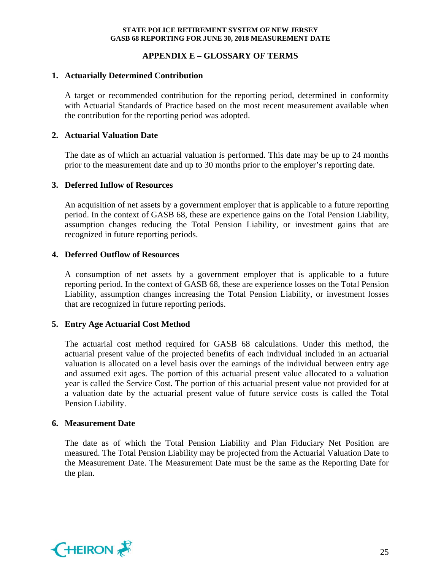## **APPENDIX E – GLOSSARY OF TERMS**

### **1. Actuarially Determined Contribution**

A target or recommended contribution for the reporting period, determined in conformity with Actuarial Standards of Practice based on the most recent measurement available when the contribution for the reporting period was adopted.

### **2. Actuarial Valuation Date**

The date as of which an actuarial valuation is performed. This date may be up to 24 months prior to the measurement date and up to 30 months prior to the employer's reporting date.

#### **3. Deferred Inflow of Resources**

An acquisition of net assets by a government employer that is applicable to a future reporting period. In the context of GASB 68, these are experience gains on the Total Pension Liability, assumption changes reducing the Total Pension Liability, or investment gains that are recognized in future reporting periods.

### **4. Deferred Outflow of Resources**

A consumption of net assets by a government employer that is applicable to a future reporting period. In the context of GASB 68, these are experience losses on the Total Pension Liability, assumption changes increasing the Total Pension Liability, or investment losses that are recognized in future reporting periods.

### **5. Entry Age Actuarial Cost Method**

The actuarial cost method required for GASB 68 calculations. Under this method, the actuarial present value of the projected benefits of each individual included in an actuarial valuation is allocated on a level basis over the earnings of the individual between entry age and assumed exit ages. The portion of this actuarial present value allocated to a valuation year is called the Service Cost. The portion of this actuarial present value not provided for at a valuation date by the actuarial present value of future service costs is called the Total Pension Liability.

#### **6. Measurement Date**

The date as of which the Total Pension Liability and Plan Fiduciary Net Position are measured. The Total Pension Liability may be projected from the Actuarial Valuation Date to the Measurement Date. The Measurement Date must be the same as the Reporting Date for the plan.